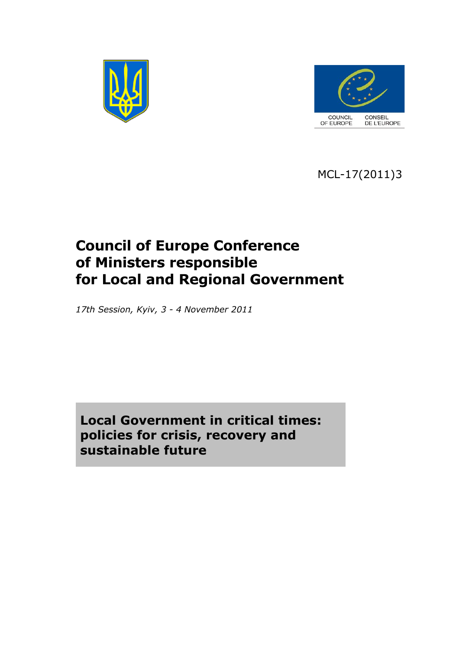



MCL-17(2011)3

# **Council of Europe Conference of Ministers responsible for Local and Regional Government**

*17th Session, Kyiv, 3 - 4 November 2011*

**Local Government in critical times: policies for crisis, recovery and sustainable future**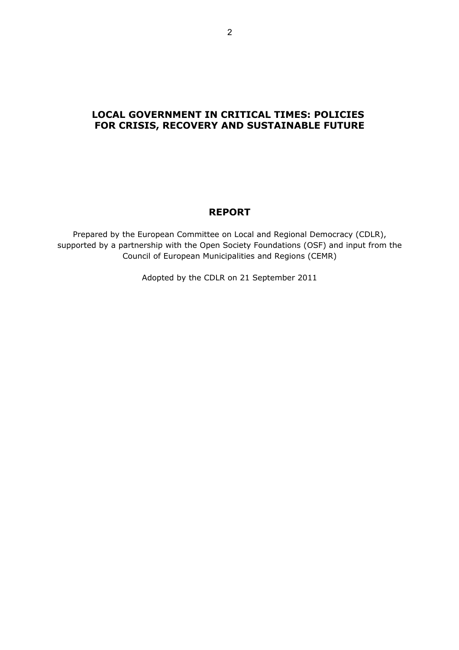# **LOCAL GOVERNMENT IN CRITICAL TIMES: POLICIES FOR CRISIS, RECOVERY AND SUSTAINABLE FUTURE**

# **REPORT**

Prepared by the European Committee on Local and Regional Democracy (CDLR), supported by a partnership with the Open Society Foundations (OSF) and input from the Council of European Municipalities and Regions (CEMR)

Adopted by the CDLR on 21 September 2011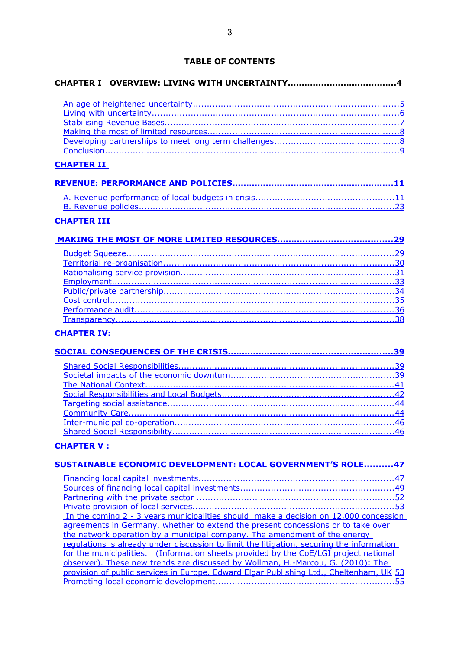# **TABLE OF CONTENTS**

| <b>CHAPTER II</b>  |  |
|--------------------|--|
|                    |  |
|                    |  |
|                    |  |
|                    |  |
| <b>CHAPTER III</b> |  |
|                    |  |
|                    |  |
|                    |  |
|                    |  |
|                    |  |
|                    |  |
|                    |  |
|                    |  |
|                    |  |
|                    |  |
| <b>CHAPTER IV:</b> |  |
|                    |  |
|                    |  |

# **[CHAPTER V :](#page-46-1)**

| SUSTAINABLE ECONOMIC DEVELOPMENT: LOCAL GOVERNMENT'S ROLE47                               |
|-------------------------------------------------------------------------------------------|
|                                                                                           |
|                                                                                           |
|                                                                                           |
|                                                                                           |
| In the coming 2 - 3 years municipalities should make a decision on 12,000 concession      |
| agreements in Germany, whether to extend the present concessions or to take over          |
| the network operation by a municipal company. The amendment of the energy                 |
| regulations is already under discussion to limit the litigation, securing the information |
| for the municipalities. (Information sheets provided by the CoE/LGI project national      |
| observer). These new trends are discussed by Wollman, H.-Marcou, G. (2010): The           |
| provision of public services in Europe. Edward Elgar Publishing Ltd., Cheltenham, UK 53   |
|                                                                                           |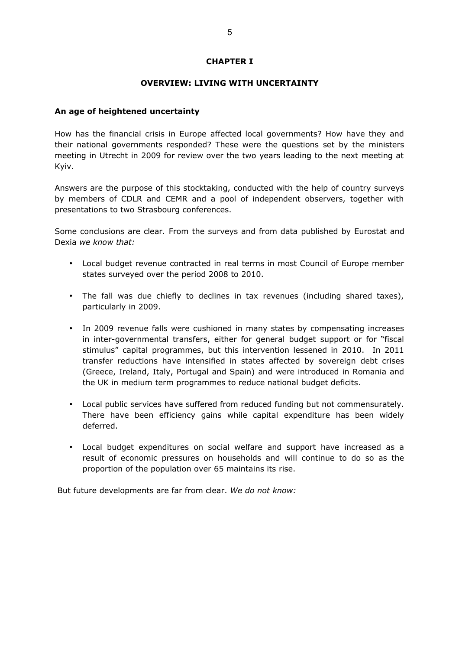# **CHAPTER I**

#### **OVERVIEW: LIVING WITH UNCERTAINTY**

#### <span id="page-4-0"></span>**An age of heightened uncertainty**

How has the financial crisis in Europe affected local governments? How have they and their national governments responded? These were the questions set by the ministers meeting in Utrecht in 2009 for review over the two years leading to the next meeting at Kyiv.

Answers are the purpose of this stocktaking, conducted with the help of country surveys by members of CDLR and CEMR and a pool of independent observers, together with presentations to two Strasbourg conferences.

Some conclusions are clear*.* From the surveys and from data published by Eurostat and Dexia *we know that:*

- Local budget revenue contracted in real terms in most Council of Europe member states surveyed over the period 2008 to 2010.
- The fall was due chiefly to declines in tax revenues (including shared taxes), particularly in 2009.
- In 2009 revenue falls were cushioned in many states by compensating increases in inter-governmental transfers, either for general budget support or for "fiscal stimulus" capital programmes, but this intervention lessened in 2010. In 2011 transfer reductions have intensified in states affected by sovereign debt crises (Greece, Ireland, Italy, Portugal and Spain) and were introduced in Romania and the UK in medium term programmes to reduce national budget deficits.
- Local public services have suffered from reduced funding but not commensurately. There have been efficiency gains while capital expenditure has been widely deferred.
- Local budget expenditures on social welfare and support have increased as a result of economic pressures on households and will continue to do so as the proportion of the population over 65 maintains its rise.

But future developments are far from clear. *We do not know:*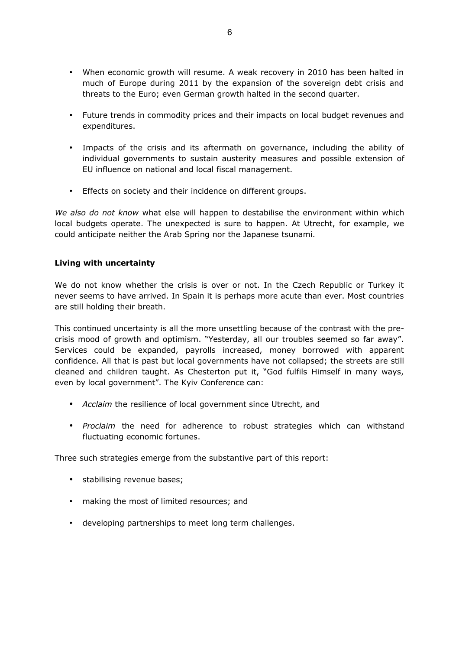- When economic growth will resume. A weak recovery in 2010 has been halted in much of Europe during 2011 by the expansion of the sovereign debt crisis and threats to the Euro; even German growth halted in the second quarter.
- Future trends in commodity prices and their impacts on local budget revenues and expenditures.
- Impacts of the crisis and its aftermath on governance, including the ability of individual governments to sustain austerity measures and possible extension of EU influence on national and local fiscal management.
- Effects on society and their incidence on different groups.

*We also do not know* what else will happen to destabilise the environment within which local budgets operate. The unexpected is sure to happen. At Utrecht, for example, we could anticipate neither the Arab Spring nor the Japanese tsunami.

# <span id="page-5-0"></span>**Living with uncertainty**

We do not know whether the crisis is over or not. In the Czech Republic or Turkey it never seems to have arrived. In Spain it is perhaps more acute than ever. Most countries are still holding their breath.

This continued uncertainty is all the more unsettling because of the contrast with the precrisis mood of growth and optimism. "Yesterday, all our troubles seemed so far away". Services could be expanded, payrolls increased, money borrowed with apparent confidence. All that is past but local governments have not collapsed; the streets are still cleaned and children taught. As Chesterton put it, "God fulfils Himself in many ways, even by local government". The Kyiv Conference can:

- *Acclaim* the resilience of local government since Utrecht, and
- *Proclaim* the need for adherence to robust strategies which can withstand fluctuating economic fortunes.

Three such strategies emerge from the substantive part of this report:

- stabilising revenue bases;
- making the most of limited resources; and
- developing partnerships to meet long term challenges.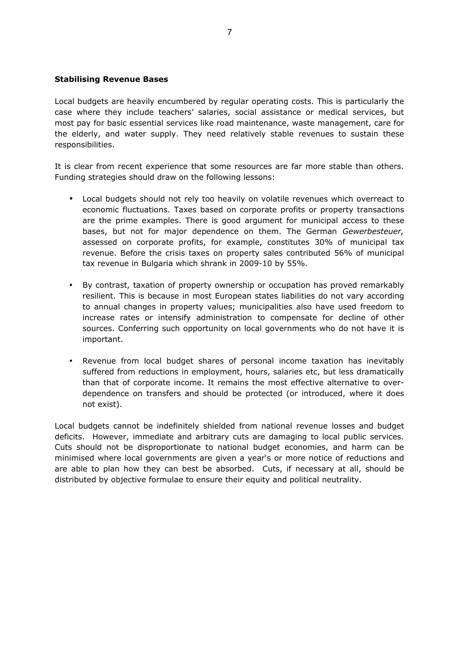## <span id="page-6-0"></span>**Stabilising Revenue Bases**

Local budgets are heavily encumbered by regular operating costs. This is particularly the case where they include teachers' salaries, social assistance or medical services, but most pay for basic essential services like road maintenance, waste management, care for the elderly, and water supply. They need relatively stable revenues to sustain these responsibilities.

It is clear from recent experience that some resources are far more stable than others. Funding strategies should draw on the following lessons:

- Local budgets should not rely too heavily on volatile revenues which overreact to economic fluctuations. Taxes based on corporate profits or property transactions are the prime examples. There is good argument for municipal access to these bases, but not for major dependence on them. The German *Gewerbesteuer,* assessed on corporate profits, for example, constitutes 30% of municipal tax revenue. Before the crisis taxes on property sales contributed 56% of municipal tax revenue in Bulgaria which shrank in 2009-10 by 55%.
- By contrast, taxation of property ownership or occupation has proved remarkably resilient. This is because in most European states liabilities do not vary according to annual changes in property values; municipalities also have used freedom to increase rates or intensify administration to compensate for decline of other sources. Conferring such opportunity on local governments who do not have it is important.
- Revenue from local budget shares of personal income taxation has inevitably suffered from reductions in employment, hours, salaries etc, but less dramatically than that of corporate income. It remains the most effective alternative to overdependence on transfers and should be protected (or introduced, where it does not exist).

Local budgets cannot be indefinitely shielded from national revenue losses and budget deficits. However, immediate and arbitrary cuts are damaging to local public services. Cuts should not be disproportionate to national budget economies, and harm can be minimised where local governments are given a year's or more notice of reductions and are able to plan how they can best be absorbed. Cuts, if necessary at all, should be distributed by objective formulae to ensure their equity and political neutrality.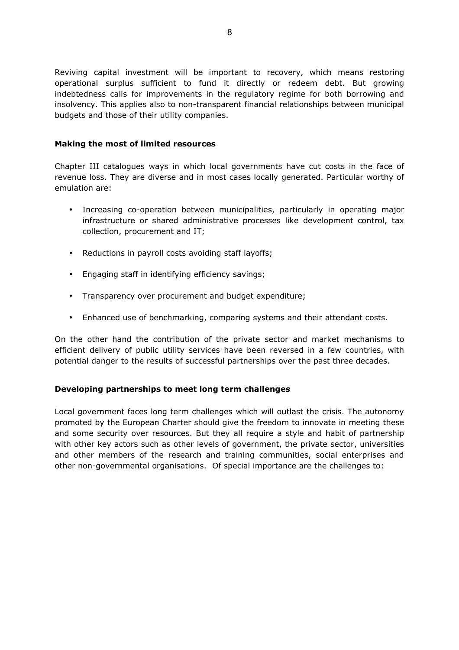Reviving capital investment will be important to recovery, which means restoring operational surplus sufficient to fund it directly or redeem debt. But growing indebtedness calls for improvements in the regulatory regime for both borrowing and insolvency. This applies also to non-transparent financial relationships between municipal budgets and those of their utility companies.

# <span id="page-7-1"></span>**Making the most of limited resources**

Chapter III catalogues ways in which local governments have cut costs in the face of revenue loss. They are diverse and in most cases locally generated. Particular worthy of emulation are:

- Increasing co-operation between municipalities, particularly in operating major infrastructure or shared administrative processes like development control, tax collection, procurement and IT;
- Reductions in payroll costs avoiding staff layoffs;
- Engaging staff in identifying efficiency savings;
- Transparency over procurement and budget expenditure;
- Enhanced use of benchmarking, comparing systems and their attendant costs.

On the other hand the contribution of the private sector and market mechanisms to efficient delivery of public utility services have been reversed in a few countries, with potential danger to the results of successful partnerships over the past three decades.

# <span id="page-7-0"></span>**Developing partnerships to meet long term challenges**

Local government faces long term challenges which will outlast the crisis. The autonomy promoted by the European Charter should give the freedom to innovate in meeting these and some security over resources. But they all require a style and habit of partnership with other key actors such as other levels of government, the private sector, universities and other members of the research and training communities, social enterprises and other non-governmental organisations. Of special importance are the challenges to: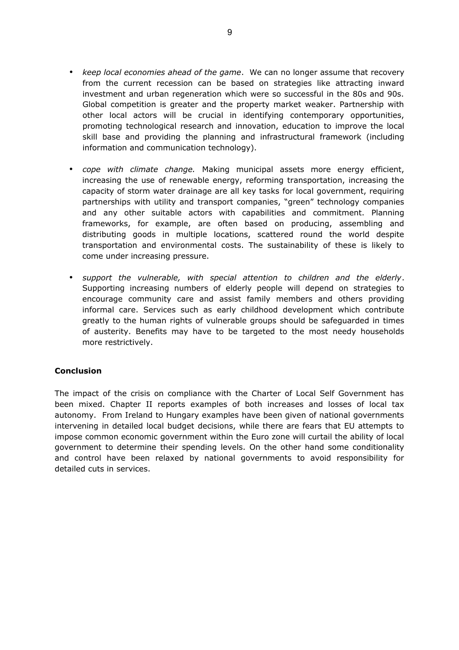- *keep local economies ahead of the game*. We can no longer assume that recovery from the current recession can be based on strategies like attracting inward investment and urban regeneration which were so successful in the 80s and 90s. Global competition is greater and the property market weaker. Partnership with other local actors will be crucial in identifying contemporary opportunities, promoting technological research and innovation, education to improve the local skill base and providing the planning and infrastructural framework (including information and communication technology).
- *cope with climate change.* Making municipal assets more energy efficient, increasing the use of renewable energy, reforming transportation, increasing the capacity of storm water drainage are all key tasks for local government, requiring partnerships with utility and transport companies, "green" technology companies and any other suitable actors with capabilities and commitment. Planning frameworks, for example, are often based on producing, assembling and distributing goods in multiple locations, scattered round the world despite transportation and environmental costs. The sustainability of these is likely to come under increasing pressure.
- *support the vulnerable, with special attention to children and the elderly*. Supporting increasing numbers of elderly people will depend on strategies to encourage community care and assist family members and others providing informal care. Services such as early childhood development which contribute greatly to the human rights of vulnerable groups should be safeguarded in times of austerity. Benefits may have to be targeted to the most needy households more restrictively.

# <span id="page-8-0"></span>**Conclusion**

The impact of the crisis on compliance with the Charter of Local Self Government has been mixed. Chapter II reports examples of both increases and losses of local tax autonomy. From Ireland to Hungary examples have been given of national governments intervening in detailed local budget decisions, while there are fears that EU attempts to impose common economic government within the Euro zone will curtail the ability of local government to determine their spending levels. On the other hand some conditionality and control have been relaxed by national governments to avoid responsibility for detailed cuts in services.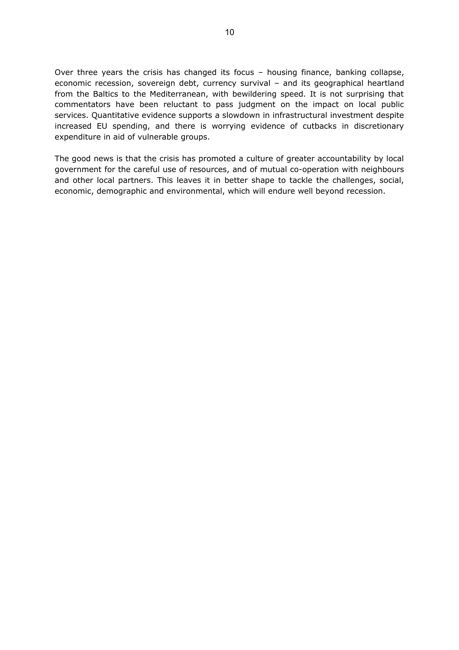Over three years the crisis has changed its focus – housing finance, banking collapse, economic recession, sovereign debt, currency survival – and its geographical heartland from the Baltics to the Mediterranean, with bewildering speed. It is not surprising that commentators have been reluctant to pass judgment on the impact on local public services. Quantitative evidence supports a slowdown in infrastructural investment despite increased EU spending, and there is worrying evidence of cutbacks in discretionary expenditure in aid of vulnerable groups.

The good news is that the crisis has promoted a culture of greater accountability by local government for the careful use of resources, and of mutual co-operation with neighbours and other local partners. This leaves it in better shape to tackle the challenges, social, economic, demographic and environmental, which will endure well beyond recession.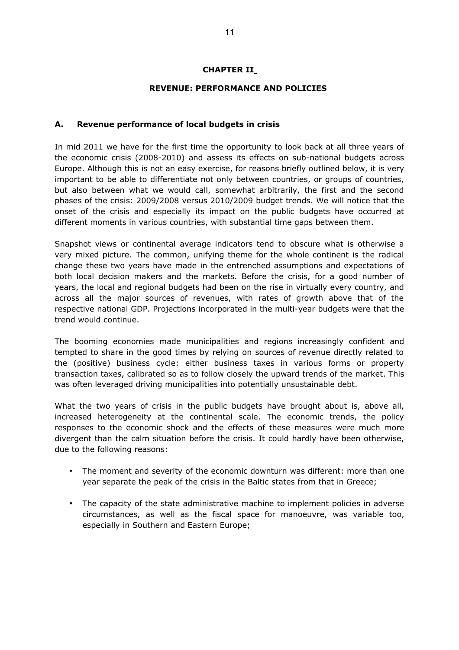# <span id="page-10-1"></span>**CHAPTER II**

# **REVENUE: PERFORMANCE AND POLICIES**

# <span id="page-10-0"></span>**A. Revenue performance of local budgets in crisis**

In mid 2011 we have for the first time the opportunity to look back at all three years of the economic crisis (2008-2010) and assess its effects on sub-national budgets across Europe. Although this is not an easy exercise, for reasons briefly outlined below, it is very important to be able to differentiate not only between countries, or groups of countries, but also between what we would call, somewhat arbitrarily, the first and the second phases of the crisis: 2009/2008 versus 2010/2009 budget trends. We will notice that the onset of the crisis and especially its impact on the public budgets have occurred at different moments in various countries, with substantial time gaps between them.

Snapshot views or continental average indicators tend to obscure what is otherwise a very mixed picture. The common, unifying theme for the whole continent is the radical change these two years have made in the entrenched assumptions and expectations of both local decision makers and the markets. Before the crisis, for a good number of years, the local and regional budgets had been on the rise in virtually every country, and across all the major sources of revenues, with rates of growth above that of the respective national GDP. Projections incorporated in the multi-year budgets were that the trend would continue.

The booming economies made municipalities and regions increasingly confident and tempted to share in the good times by relying on sources of revenue directly related to the (positive) business cycle: either business taxes in various forms or property transaction taxes, calibrated so as to follow closely the upward trends of the market. This was often leveraged driving municipalities into potentially unsustainable debt.

What the two years of crisis in the public budgets have brought about is, above all, increased heterogeneity at the continental scale. The economic trends, the policy responses to the economic shock and the effects of these measures were much more divergent than the calm situation before the crisis. It could hardly have been otherwise, due to the following reasons:

- The moment and severity of the economic downturn was different: more than one year separate the peak of the crisis in the Baltic states from that in Greece;
- The capacity of the state administrative machine to implement policies in adverse circumstances, as well as the fiscal space for manoeuvre, was variable too, especially in Southern and Eastern Europe;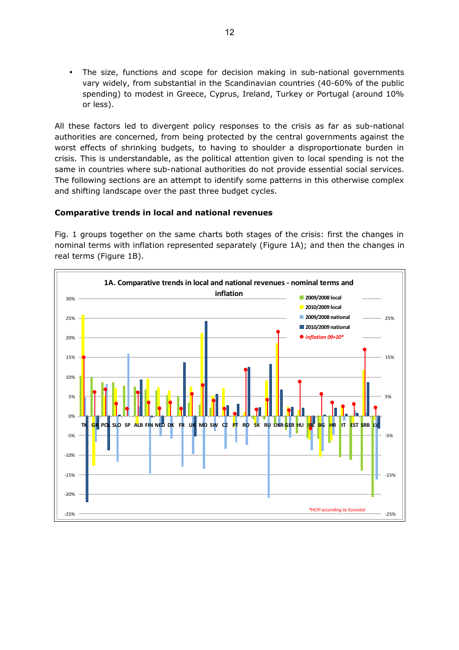• The size, functions and scope for decision making in sub-national governments vary widely, from substantial in the Scandinavian countries (40-60% of the public spending) to modest in Greece, Cyprus, Ireland, Turkey or Portugal (around 10% or less).

All these factors led to divergent policy responses to the crisis as far as sub-national authorities are concerned, from being protected by the central governments against the worst effects of shrinking budgets, to having to shoulder a disproportionate burden in crisis. This is understandable, as the political attention given to local spending is not the same in countries where sub-national authorities do not provide essential social services. The following sections are an attempt to identify some patterns in this otherwise complex and shifting landscape over the past three budget cycles.

# **Comparative trends in local and national revenues**

Fig. 1 groups together on the same charts both stages of the crisis: first the changes in nominal terms with inflation represented separately (Figure 1A); and then the changes in real terms (Figure 1B).

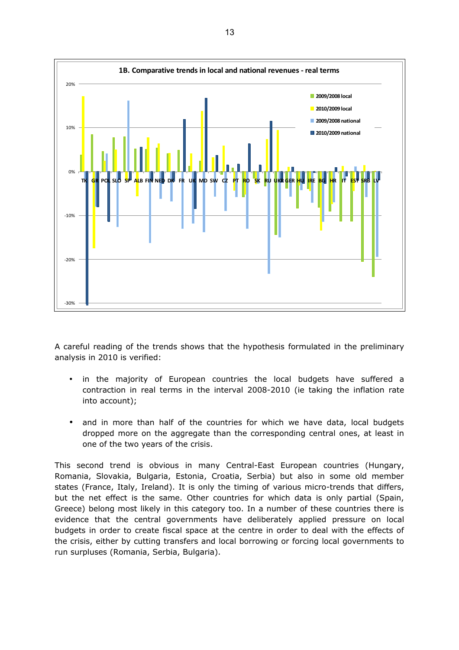

A careful reading of the trends shows that the hypothesis formulated in the preliminary analysis in 2010 is verified:

- in the majority of European countries the local budgets have suffered a contraction in real terms in the interval 2008-2010 (ie taking the inflation rate into account);
- and in more than half of the countries for which we have data, local budgets dropped more on the aggregate than the corresponding central ones, at least in one of the two years of the crisis.

This second trend is obvious in many Central-East European countries (Hungary, Romania, Slovakia, Bulgaria, Estonia, Croatia, Serbia) but also in some old member states (France, Italy, Ireland). It is only the timing of various micro-trends that differs, but the net effect is the same. Other countries for which data is only partial (Spain, Greece) belong most likely in this category too. In a number of these countries there is evidence that the central governments have deliberately applied pressure on local budgets in order to create fiscal space at the centre in order to deal with the effects of the crisis, either by cutting transfers and local borrowing or forcing local governments to run surpluses (Romania, Serbia, Bulgaria).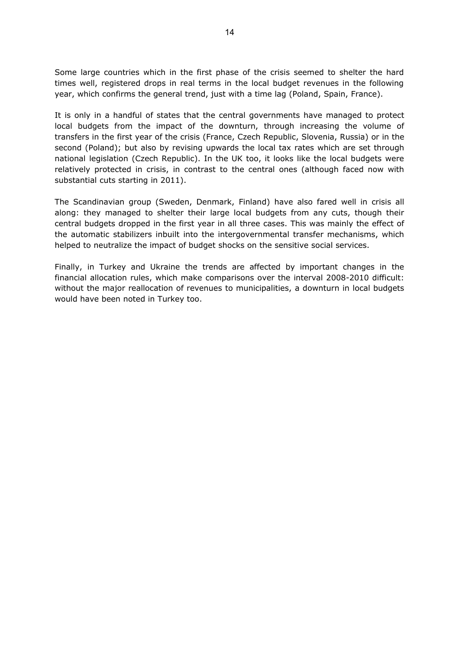Some large countries which in the first phase of the crisis seemed to shelter the hard times well, registered drops in real terms in the local budget revenues in the following year, which confirms the general trend, just with a time lag (Poland, Spain, France).

It is only in a handful of states that the central governments have managed to protect local budgets from the impact of the downturn, through increasing the volume of transfers in the first year of the crisis (France, Czech Republic, Slovenia, Russia) or in the second (Poland); but also by revising upwards the local tax rates which are set through national legislation (Czech Republic). In the UK too, it looks like the local budgets were relatively protected in crisis, in contrast to the central ones (although faced now with substantial cuts starting in 2011).

The Scandinavian group (Sweden, Denmark, Finland) have also fared well in crisis all along: they managed to shelter their large local budgets from any cuts, though their central budgets dropped in the first year in all three cases. This was mainly the effect of the automatic stabilizers inbuilt into the intergovernmental transfer mechanisms, which helped to neutralize the impact of budget shocks on the sensitive social services.

Finally, in Turkey and Ukraine the trends are affected by important changes in the financial allocation rules, which make comparisons over the interval 2008-2010 difficult: without the major reallocation of revenues to municipalities, a downturn in local budgets would have been noted in Turkey too.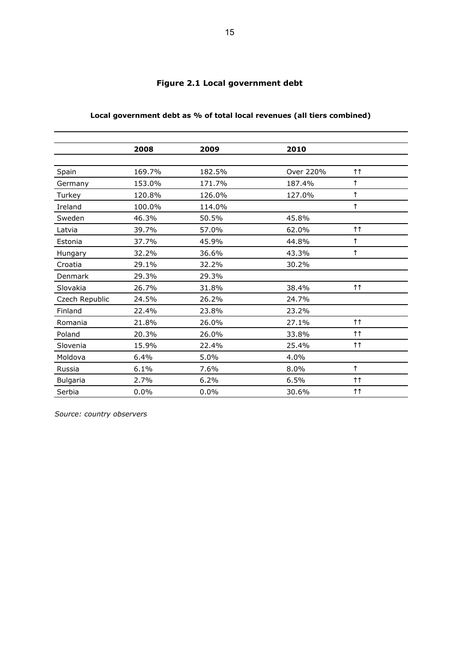|                 | 2008   | 2009   | 2010      |                    |
|-----------------|--------|--------|-----------|--------------------|
|                 |        |        |           |                    |
| Spain           | 169.7% | 182.5% | Over 220% | $\uparrow\uparrow$ |
| Germany         | 153.0% | 171.7% | 187.4%    | ↑                  |
| Turkey          | 120.8% | 126.0% | 127.0%    | $\uparrow$         |
| Ireland         | 100.0% | 114.0% |           | $\uparrow$         |
| Sweden          | 46.3%  | 50.5%  | 45.8%     |                    |
| Latvia          | 39.7%  | 57.0%  | 62.0%     | $\uparrow\uparrow$ |
| Estonia         | 37.7%  | 45.9%  | 44.8%     | $\uparrow$         |
| Hungary         | 32.2%  | 36.6%  | 43.3%     | $\uparrow$         |
| Croatia         | 29.1%  | 32.2%  | 30.2%     |                    |
| Denmark         | 29.3%  | 29.3%  |           |                    |
| Slovakia        | 26.7%  | 31.8%  | 38.4%     | $\uparrow\uparrow$ |
| Czech Republic  | 24.5%  | 26.2%  | 24.7%     |                    |
| Finland         | 22.4%  | 23.8%  | 23.2%     |                    |
| Romania         | 21.8%  | 26.0%  | 27.1%     | $\uparrow\uparrow$ |
| Poland          | 20.3%  | 26.0%  | 33.8%     | $\uparrow\uparrow$ |
| Slovenia        | 15.9%  | 22.4%  | 25.4%     | $\uparrow\uparrow$ |
| Moldova         | 6.4%   | 5.0%   | 4.0%      |                    |
| Russia          | 6.1%   | 7.6%   | 8.0%      | $\uparrow$         |
| <b>Bulgaria</b> | 2.7%   | 6.2%   | 6.5%      | $\uparrow\uparrow$ |
| Serbia          | 0.0%   | 0.0%   | 30.6%     | $\uparrow\uparrow$ |

# **Figure 2.1 Local government debt**

**Local government debt as % of total local revenues (all tiers combined)**

*Source: country observers*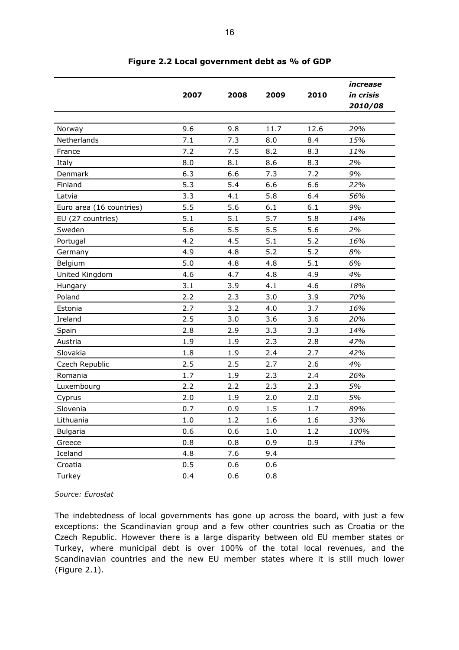|                          | 2007 | 2008    | 2009 | 2010 | increase<br>in crisis<br>2010/08 |
|--------------------------|------|---------|------|------|----------------------------------|
|                          |      |         |      |      |                                  |
| Norway                   | 9.6  | 9.8     | 11.7 | 12.6 | 29%                              |
| Netherlands              | 7.1  | 7.3     | 8.0  | 8.4  | 15%                              |
| France                   | 7.2  | 7.5     | 8.2  | 8.3  | 11%                              |
| Italy                    | 8.0  | 8.1     | 8.6  | 8.3  | 2%                               |
| Denmark                  | 6.3  | 6.6     | 7.3  | 7.2  | 9%                               |
| Finland                  | 5.3  | 5.4     | 6.6  | 6.6  | 22%                              |
| Latvia                   | 3.3  | 4.1     | 5.8  | 6.4  | 56%                              |
| Euro area (16 countries) | 5.5  | 5.6     | 6.1  | 6.1  | 9%                               |
| EU (27 countries)        | 5.1  | 5.1     | 5.7  | 5.8  | 14%                              |
| Sweden                   | 5.6  | 5.5     | 5.5  | 5.6  | 2%                               |
| Portugal                 | 4.2  | 4.5     | 5.1  | 5.2  | 16%                              |
| Germany                  | 4.9  | 4.8     | 5.2  | 5.2  | 8%                               |
| Belgium                  | 5.0  | 4.8     | 4.8  | 5.1  | 6%                               |
| United Kingdom           | 4.6  | 4.7     | 4.8  | 4.9  | 4%                               |
| Hungary                  | 3.1  | 3.9     | 4.1  | 4.6  | 18%                              |
| Poland                   | 2.2  | 2.3     | 3.0  | 3.9  | 70%                              |
| Estonia                  | 2.7  | 3.2     | 4.0  | 3.7  | 16%                              |
| Ireland                  | 2.5  | 3.0     | 3.6  | 3.6  | 20%                              |
| Spain                    | 2.8  | 2.9     | 3.3  | 3.3  | 14%                              |
| Austria                  | 1.9  | 1.9     | 2.3  | 2.8  | 47%                              |
| Slovakia                 | 1.8  | 1.9     | 2.4  | 2.7  | 42%                              |
| Czech Republic           | 2.5  | 2.5     | 2.7  | 2.6  | 4%                               |
| Romania                  | 1.7  | 1.9     | 2.3  | 2.4  | 26%                              |
| Luxembourg               | 2.2  | 2.2     | 2.3  | 2.3  | 5%                               |
| Cyprus                   | 2.0  | 1.9     | 2.0  | 2.0  | 5%                               |
| Slovenia                 | 0.7  | 0.9     | 1.5  | 1.7  | 89%                              |
| Lithuania                | 1.0  | $1.2\,$ | 1.6  | 1.6  | 33%                              |
| <b>Bulgaria</b>          | 0.6  | 0.6     | 1.0  | 1.2  | 100%                             |
| Greece                   | 0.8  | 0.8     | 0.9  | 0.9  | 13%                              |
| Iceland                  | 4.8  | 7.6     | 9.4  |      |                                  |
| Croatia                  | 0.5  | 0.6     | 0.6  |      |                                  |
| Turkey                   | 0.4  | 0.6     | 0.8  |      |                                  |

# **Figure 2.2 Local government debt as % of GDP**

*Source: Eurostat*

The indebtedness of local governments has gone up across the board, with just a few exceptions: the Scandinavian group and a few other countries such as Croatia or the Czech Republic. However there is a large disparity between old EU member states or Turkey, where municipal debt is over 100% of the total local revenues, and the Scandinavian countries and the new EU member states where it is still much lower (Figure 2.1).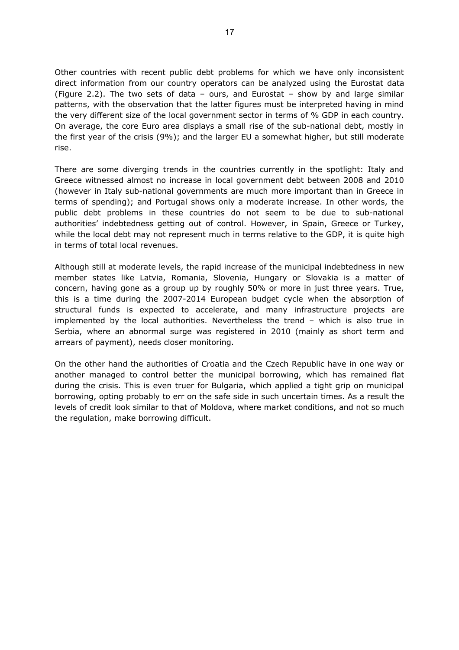Other countries with recent public debt problems for which we have only inconsistent direct information from our country operators can be analyzed using the Eurostat data (Figure 2.2). The two sets of data – ours, and Eurostat – show by and large similar patterns, with the observation that the latter figures must be interpreted having in mind the very different size of the local government sector in terms of % GDP in each country. On average, the core Euro area displays a small rise of the sub-national debt, mostly in the first year of the crisis (9%); and the larger EU a somewhat higher, but still moderate rise.

There are some diverging trends in the countries currently in the spotlight: Italy and Greece witnessed almost no increase in local government debt between 2008 and 2010 (however in Italy sub-national governments are much more important than in Greece in terms of spending); and Portugal shows only a moderate increase. In other words, the public debt problems in these countries do not seem to be due to sub-national authorities' indebtedness getting out of control. However, in Spain, Greece or Turkey, while the local debt may not represent much in terms relative to the GDP, it is quite high in terms of total local revenues.

Although still at moderate levels, the rapid increase of the municipal indebtedness in new member states like Latvia, Romania, Slovenia, Hungary or Slovakia is a matter of concern, having gone as a group up by roughly 50% or more in just three years. True, this is a time during the 2007-2014 European budget cycle when the absorption of structural funds is expected to accelerate, and many infrastructure projects are implemented by the local authorities. Nevertheless the trend – which is also true in Serbia, where an abnormal surge was registered in 2010 (mainly as short term and arrears of payment), needs closer monitoring.

On the other hand the authorities of Croatia and the Czech Republic have in one way or another managed to control better the municipal borrowing, which has remained flat during the crisis. This is even truer for Bulgaria, which applied a tight grip on municipal borrowing, opting probably to err on the safe side in such uncertain times. As a result the levels of credit look similar to that of Moldova, where market conditions, and not so much the regulation, make borrowing difficult.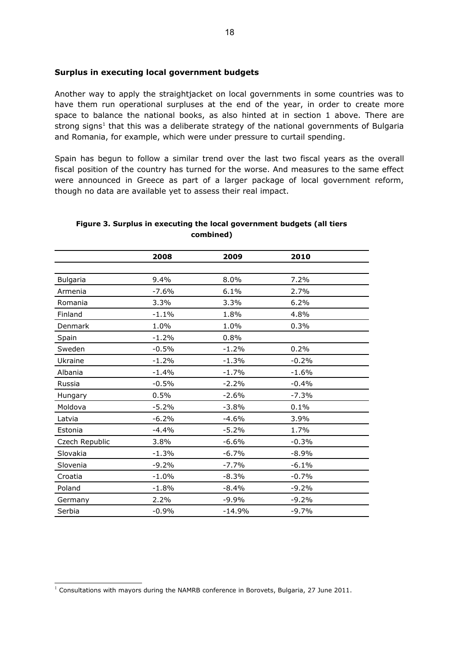#### **Surplus in executing local government budgets**

Another way to apply the straightjacket on local governments in some countries was to have them run operational surpluses at the end of the year, in order to create more space to balance the national books, as also hinted at in section 1 above. There are strong signs<sup>[1](#page-17-0)</sup> that this was a deliberate strategy of the national governments of Bulgaria and Romania, for example, which were under pressure to curtail spending.

Spain has begun to follow a similar trend over the last two fiscal years as the overall fiscal position of the country has turned for the worse. And measures to the same effect were announced in Greece as part of a larger package of local government reform, though no data are available yet to assess their real impact.

|                 | 2008    | 2009     | 2010    |  |
|-----------------|---------|----------|---------|--|
|                 |         |          |         |  |
| <b>Bulgaria</b> | 9.4%    | 8.0%     | 7.2%    |  |
| Armenia         | $-7.6%$ | 6.1%     | 2.7%    |  |
| Romania         | 3.3%    | 3.3%     | 6.2%    |  |
| Finland         | $-1.1%$ | 1.8%     | 4.8%    |  |
| Denmark         | 1.0%    | 1.0%     | 0.3%    |  |
| Spain           | $-1.2%$ | 0.8%     |         |  |
| Sweden          | $-0.5%$ | $-1.2%$  | 0.2%    |  |
| Ukraine         | $-1.2%$ | $-1.3%$  | $-0.2%$ |  |
| Albania         | $-1.4%$ | $-1.7%$  | $-1.6%$ |  |
| Russia          | $-0.5%$ | $-2.2%$  | $-0.4%$ |  |
| Hungary         | 0.5%    | $-2.6%$  | $-7.3%$ |  |
| Moldova         | $-5.2%$ | $-3.8%$  | 0.1%    |  |
| Latvia          | $-6.2%$ | $-4.6%$  | 3.9%    |  |
| Estonia         | $-4.4%$ | $-5.2%$  | 1.7%    |  |
| Czech Republic  | 3.8%    | $-6.6%$  | $-0.3%$ |  |
| Slovakia        | $-1.3%$ | $-6.7%$  | $-8.9%$ |  |
| Slovenia        | $-9.2%$ | $-7.7%$  | $-6.1%$ |  |
| Croatia         | $-1.0%$ | $-8.3%$  | $-0.7%$ |  |
| Poland          | $-1.8%$ | $-8.4%$  | $-9.2%$ |  |
| Germany         | 2.2%    | $-9.9%$  | $-9.2%$ |  |
| Serbia          | $-0.9%$ | $-14.9%$ | $-9.7%$ |  |

#### **Figure 3. Surplus in executing the local government budgets (all tiers combined)**

<span id="page-17-0"></span> $<sup>1</sup>$  Consultations with mayors during the NAMRB conference in Borovets, Bulgaria, 27 June 2011.</sup>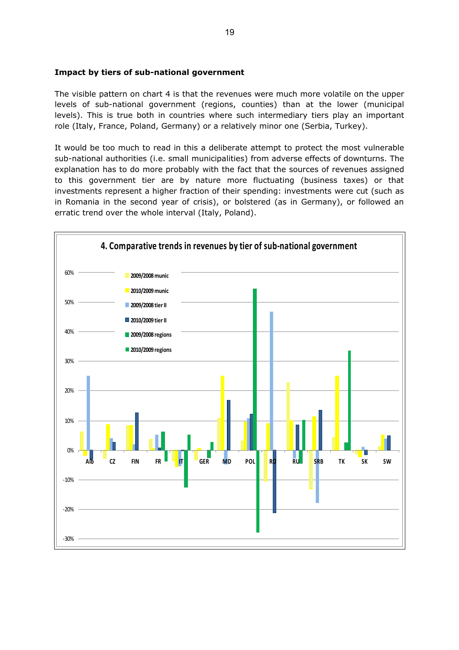# **Impact by tiers of sub-national government**

The visible pattern on chart 4 is that the revenues were much more volatile on the upper levels of sub-national government (regions, counties) than at the lower (municipal levels). This is true both in countries where such intermediary tiers play an important role (Italy, France, Poland, Germany) or a relatively minor one (Serbia, Turkey).

It would be too much to read in this a deliberate attempt to protect the most vulnerable sub-national authorities (i.e. small municipalities) from adverse effects of downturns. The explanation has to do more probably with the fact that the sources of revenues assigned to this government tier are by nature more fluctuating (business taxes) or that investments represent a higher fraction of their spending: investments were cut (such as in Romania in the second year of crisis), or bolstered (as in Germany), or followed an erratic trend over the whole interval (Italy, Poland).

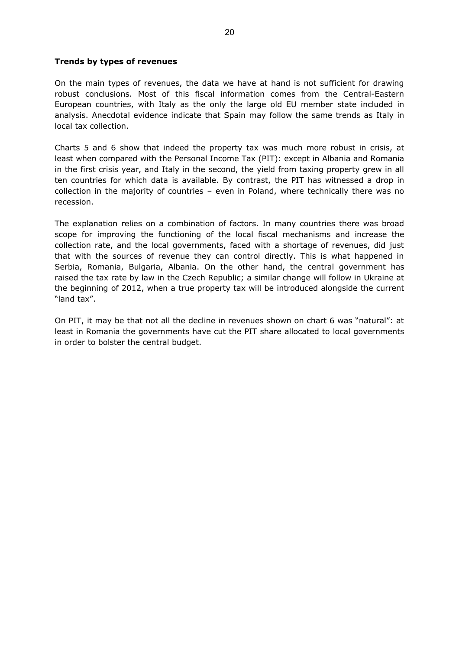# **Trends by types of revenues**

On the main types of revenues, the data we have at hand is not sufficient for drawing robust conclusions. Most of this fiscal information comes from the Central-Eastern European countries, with Italy as the only the large old EU member state included in analysis. Anecdotal evidence indicate that Spain may follow the same trends as Italy in local tax collection.

Charts 5 and 6 show that indeed the property tax was much more robust in crisis, at least when compared with the Personal Income Tax (PIT): except in Albania and Romania in the first crisis year, and Italy in the second, the yield from taxing property grew in all ten countries for which data is available. By contrast, the PIT has witnessed a drop in collection in the majority of countries – even in Poland, where technically there was no recession.

The explanation relies on a combination of factors. In many countries there was broad scope for improving the functioning of the local fiscal mechanisms and increase the collection rate, and the local governments, faced with a shortage of revenues, did just that with the sources of revenue they can control directly. This is what happened in Serbia, Romania, Bulgaria, Albania. On the other hand, the central government has raised the tax rate by law in the Czech Republic; a similar change will follow in Ukraine at the beginning of 2012, when a true property tax will be introduced alongside the current "land tax".

On PIT, it may be that not all the decline in revenues shown on chart 6 was "natural": at least in Romania the governments have cut the PIT share allocated to local governments in order to bolster the central budget.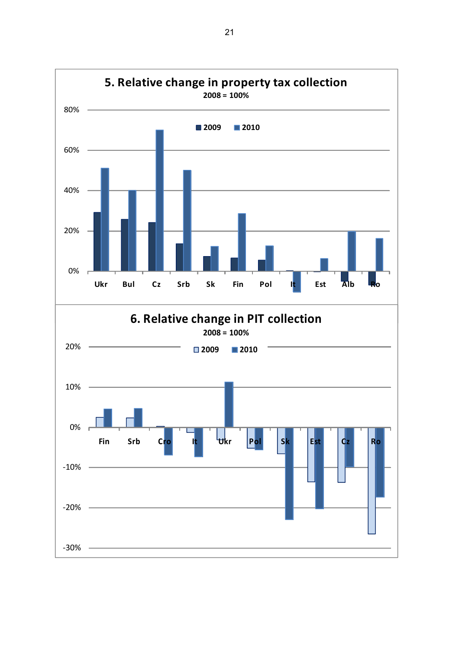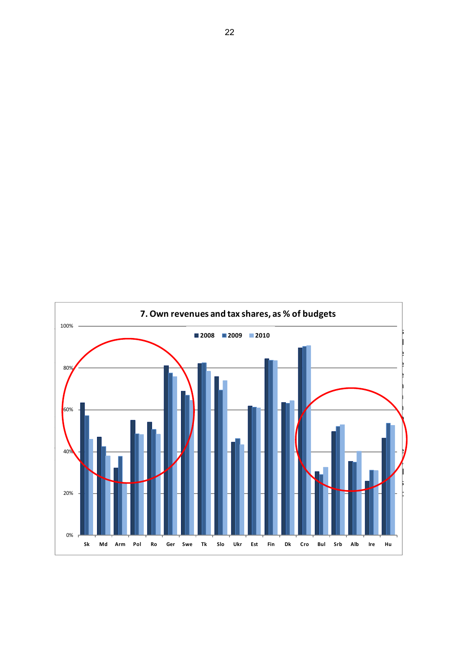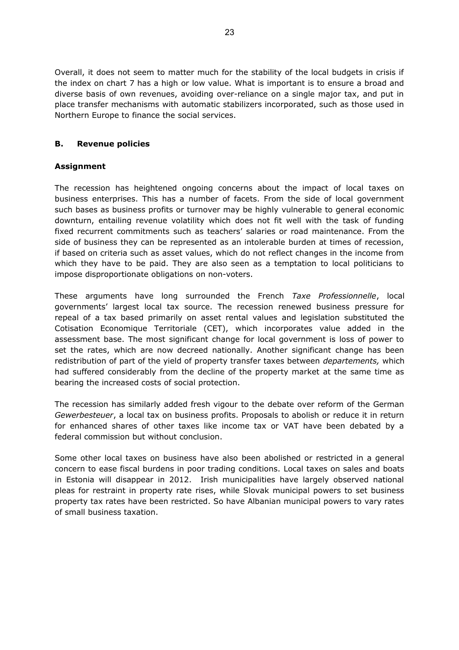Overall, it does not seem to matter much for the stability of the local budgets in crisis if the index on chart 7 has a high or low value. What is important is to ensure a broad and diverse basis of own revenues, avoiding over-reliance on a single major tax, and put in place transfer mechanisms with automatic stabilizers incorporated, such as those used in Northern Europe to finance the social services.

# <span id="page-22-0"></span>**B. Revenue policies**

# **Assignment**

The recession has heightened ongoing concerns about the impact of local taxes on business enterprises. This has a number of facets. From the side of local government such bases as business profits or turnover may be highly vulnerable to general economic downturn, entailing revenue volatility which does not fit well with the task of funding fixed recurrent commitments such as teachers' salaries or road maintenance. From the side of business they can be represented as an intolerable burden at times of recession, if based on criteria such as asset values, which do not reflect changes in the income from which they have to be paid. They are also seen as a temptation to local politicians to impose disproportionate obligations on non-voters.

These arguments have long surrounded the French *Taxe Professionnelle*, local governments' largest local tax source. The recession renewed business pressure for repeal of a tax based primarily on asset rental values and legislation substituted the Cotisation Economique Territoriale (CET), which incorporates value added in the assessment base. The most significant change for local government is loss of power to set the rates, which are now decreed nationally. Another significant change has been redistribution of part of the yield of property transfer taxes between *departements,* which had suffered considerably from the decline of the property market at the same time as bearing the increased costs of social protection.

The recession has similarly added fresh vigour to the debate over reform of the German *Gewerbesteuer*, a local tax on business profits. Proposals to abolish or reduce it in return for enhanced shares of other taxes like income tax or VAT have been debated by a federal commission but without conclusion.

Some other local taxes on business have also been abolished or restricted in a general concern to ease fiscal burdens in poor trading conditions. Local taxes on sales and boats in Estonia will disappear in 2012. Irish municipalities have largely observed national pleas for restraint in property rate rises, while Slovak municipal powers to set business property tax rates have been restricted. So have Albanian municipal powers to vary rates of small business taxation.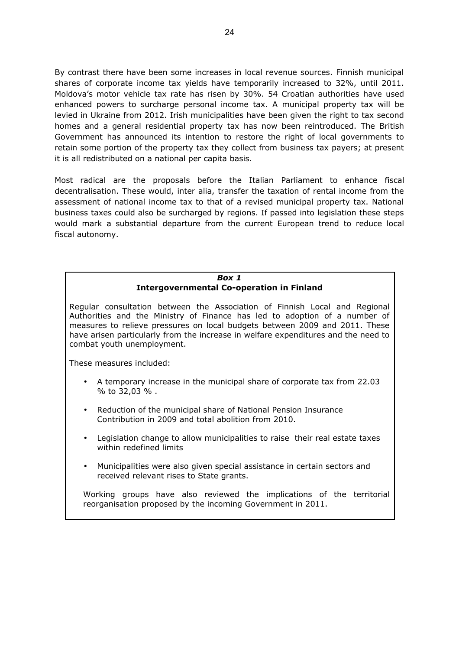By contrast there have been some increases in local revenue sources. Finnish municipal shares of corporate income tax yields have temporarily increased to 32%, until 2011. Moldova's motor vehicle tax rate has risen by 30%. 54 Croatian authorities have used enhanced powers to surcharge personal income tax. A municipal property tax will be levied in Ukraine from 2012. Irish municipalities have been given the right to tax second homes and a general residential property tax has now been reintroduced. The British Government has announced its intention to restore the right of local governments to retain some portion of the property tax they collect from business tax payers; at present it is all redistributed on a national per capita basis.

Most radical are the proposals before the Italian Parliament to enhance fiscal decentralisation. These would, inter alia, transfer the taxation of rental income from the assessment of national income tax to that of a revised municipal property tax. National business taxes could also be surcharged by regions. If passed into legislation these steps would mark a substantial departure from the current European trend to reduce local fiscal autonomy.

# *Box 1* **Intergovernmental Co-operation in Finland**

Regular consultation between the Association of Finnish Local and Regional Authorities and the Ministry of Finance has led to adoption of a number of measures to relieve pressures on local budgets between 2009 and 2011. These have arisen particularly from the increase in welfare expenditures and the need to combat youth unemployment.

These measures included:

- A temporary increase in the municipal share of corporate tax from 22.03 % to 32,03 % .
- Reduction of the municipal share of National Pension Insurance Contribution in 2009 and total abolition from 2010.
- Legislation change to allow municipalities to raise their real estate taxes within redefined limits
- Municipalities were also given special assistance in certain sectors and received relevant rises to State grants.

Working groups have also reviewed the implications of the territorial reorganisation proposed by the incoming Government in 2011.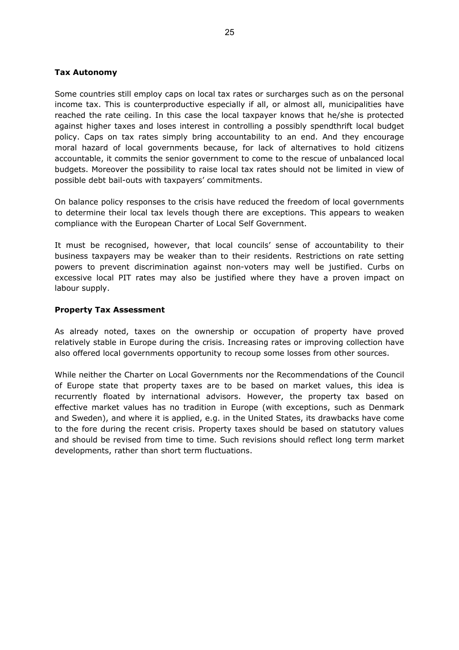## **Tax Autonomy**

Some countries still employ caps on local tax rates or surcharges such as on the personal income tax. This is counterproductive especially if all, or almost all, municipalities have reached the rate ceiling. In this case the local taxpayer knows that he/she is protected against higher taxes and loses interest in controlling a possibly spendthrift local budget policy. Caps on tax rates simply bring accountability to an end. And they encourage moral hazard of local governments because, for lack of alternatives to hold citizens accountable, it commits the senior government to come to the rescue of unbalanced local budgets. Moreover the possibility to raise local tax rates should not be limited in view of possible debt bail-outs with taxpayers' commitments.

On balance policy responses to the crisis have reduced the freedom of local governments to determine their local tax levels though there are exceptions. This appears to weaken compliance with the European Charter of Local Self Government.

It must be recognised, however, that local councils' sense of accountability to their business taxpayers may be weaker than to their residents. Restrictions on rate setting powers to prevent discrimination against non-voters may well be justified. Curbs on excessive local PIT rates may also be justified where they have a proven impact on labour supply.

#### **Property Tax Assessment**

As already noted, taxes on the ownership or occupation of property have proved relatively stable in Europe during the crisis. Increasing rates or improving collection have also offered local governments opportunity to recoup some losses from other sources.

While neither the Charter on Local Governments nor the Recommendations of the Council of Europe state that property taxes are to be based on market values, this idea is recurrently floated by international advisors. However, the property tax based on effective market values has no tradition in Europe (with exceptions, such as Denmark and Sweden), and where it is applied, e.g. in the United States, its drawbacks have come to the fore during the recent crisis. Property taxes should be based on statutory values and should be revised from time to time. Such revisions should reflect long term market developments, rather than short term fluctuations.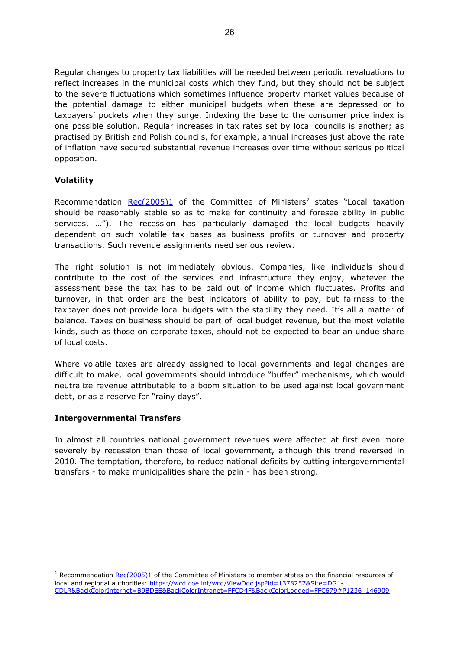Regular changes to property tax liabilities will be needed between periodic revaluations to reflect increases in the municipal costs which they fund, but they should not be subject to the severe fluctuations which sometimes influence property market values because of the potential damage to either municipal budgets when these are depressed or to taxpayers' pockets when they surge. Indexing the base to the consumer price index is one possible solution. Regular increases in tax rates set by local councils is another; as practised by British and Polish councils, for example, annual increases just above the rate of inflation have secured substantial revenue increases over time without serious political opposition.

# **Volatility**

Recommendation [Rec\(2005\)1](https://wcd.coe.int/wcd/ViewDoc.jsp?Ref=Rec(2005)1&Language=lanEnglish&Site=DG1-CDLR&BackColorInternet=B9BDEE&BackColorIntranet=FFCD4F&BackColorLogged=FFC679) of the Committee of Ministers<sup>[2](#page-25-0)</sup> states "Local taxation should be reasonably stable so as to make for continuity and foresee ability in public services, …"). The recession has particularly damaged the local budgets heavily dependent on such volatile tax bases as business profits or turnover and property transactions. Such revenue assignments need serious review.

The right solution is not immediately obvious. Companies, like individuals should contribute to the cost of the services and infrastructure they enjoy; whatever the assessment base the tax has to be paid out of income which fluctuates. Profits and turnover, in that order are the best indicators of ability to pay, but fairness to the taxpayer does not provide local budgets with the stability they need. It's all a matter of balance. Taxes on business should be part of local budget revenue, but the most volatile kinds, such as those on corporate taxes, should not be expected to bear an undue share of local costs.

Where volatile taxes are already assigned to local governments and legal changes are difficult to make, local governments should introduce "buffer" mechanisms, which would neutralize revenue attributable to a boom situation to be used against local government debt, or as a reserve for "rainy days".

#### **Intergovernmental Transfers**

In almost all countries national government revenues were affected at first even more severely by recession than those of local government, although this trend reversed in 2010. The temptation, therefore, to reduce national deficits by cutting intergovernmental transfers - to make municipalities share the pain - has been strong.

<span id="page-25-0"></span> $2$  Recommendation [Rec\(2005\)1](https://wcd.coe.int/wcd/ViewDoc.jsp?Ref=Rec(2005)1&Language=lanEnglish&Site=DG1-CDLR&BackColorInternet=B9BDEE&BackColorIntranet=FFCD4F&BackColorLogged=FFC679) of the Committee of Ministers to member states on the financial resources of local and regional authorities: [https://wcd.coe.int/wcd/ViewDoc.jsp?id=1378257&Site=DG1-](https://wcd.coe.int/wcd/ViewDoc.jsp?id=1378257&Site=DG1-CDLR&BackColorInternet=B9BDEE&BackColorIntranet=FFCD4F&BackColorLogged=FFC679#P1236_146909) [CDLR&BackColorInternet=B9BDEE&BackColorIntranet=FFCD4F&BackColorLogged=FFC679#P1236\\_146909](https://wcd.coe.int/wcd/ViewDoc.jsp?id=1378257&Site=DG1-CDLR&BackColorInternet=B9BDEE&BackColorIntranet=FFCD4F&BackColorLogged=FFC679#P1236_146909)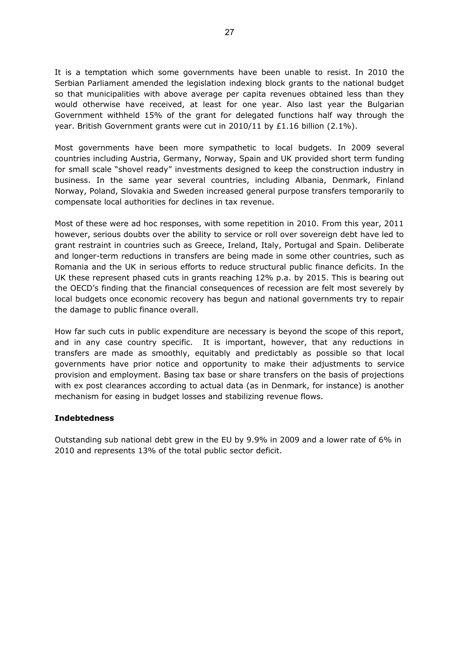It is a temptation which some governments have been unable to resist. In 2010 the Serbian Parliament amended the legislation indexing block grants to the national budget so that municipalities with above average per capita revenues obtained less than they would otherwise have received, at least for one year. Also last year the Bulgarian Government withheld 15% of the grant for delegated functions half way through the year. British Government grants were cut in 2010/11 by £1.16 billion (2.1%).

Most governments have been more sympathetic to local budgets. In 2009 several countries including Austria, Germany, Norway, Spain and UK provided short term funding for small scale "shovel ready" investments designed to keep the construction industry in business. In the same year several countries, including Albania, Denmark, Finland Norway, Poland, Slovakia and Sweden increased general purpose transfers temporarily to compensate local authorities for declines in tax revenue.

Most of these were ad hoc responses, with some repetition in 2010. From this year, 2011 however, serious doubts over the ability to service or roll over sovereign debt have led to grant restraint in countries such as Greece, Ireland, Italy, Portugal and Spain. Deliberate and longer-term reductions in transfers are being made in some other countries, such as Romania and the UK in serious efforts to reduce structural public finance deficits. In the UK these represent phased cuts in grants reaching 12% p.a. by 2015. This is bearing out the OECD's finding that the financial consequences of recession are felt most severely by local budgets once economic recovery has begun and national governments try to repair the damage to public finance overall.

How far such cuts in public expenditure are necessary is beyond the scope of this report, and in any case country specific. It is important, however, that any reductions in transfers are made as smoothly, equitably and predictably as possible so that local governments have prior notice and opportunity to make their adjustments to service provision and employment. Basing tax base or share transfers on the basis of projections with ex post clearances according to actual data (as in Denmark, for instance) is another mechanism for easing in budget losses and stabilizing revenue flows.

#### **Indebtedness**

Outstanding sub national debt grew in the EU by 9.9% in 2009 and a lower rate of 6% in 2010 and represents 13% of the total public sector deficit.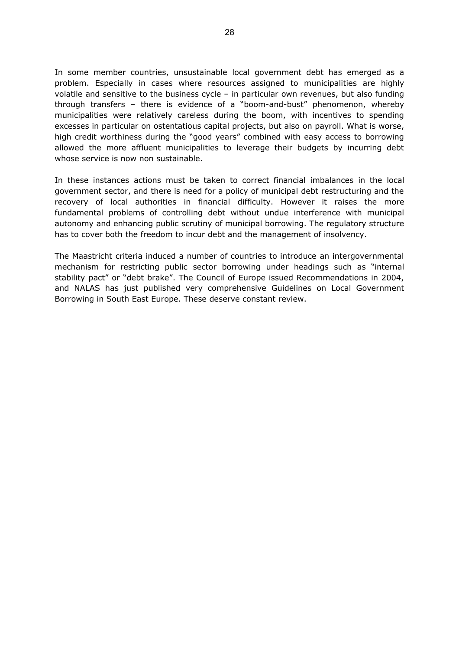In some member countries, unsustainable local government debt has emerged as a problem. Especially in cases where resources assigned to municipalities are highly volatile and sensitive to the business cycle – in particular own revenues, but also funding through transfers – there is evidence of a "boom-and-bust" phenomenon, whereby municipalities were relatively careless during the boom, with incentives to spending excesses in particular on ostentatious capital projects, but also on payroll. What is worse, high credit worthiness during the "good years" combined with easy access to borrowing allowed the more affluent municipalities to leverage their budgets by incurring debt whose service is now non sustainable.

In these instances actions must be taken to correct financial imbalances in the local government sector, and there is need for a policy of municipal debt restructuring and the recovery of local authorities in financial difficulty. However it raises the more fundamental problems of controlling debt without undue interference with municipal autonomy and enhancing public scrutiny of municipal borrowing. The regulatory structure has to cover both the freedom to incur debt and the management of insolvency.

The Maastricht criteria induced a number of countries to introduce an intergovernmental mechanism for restricting public sector borrowing under headings such as "internal stability pact" or "debt brake". The Council of Europe issued Recommendations in 2004, and NALAS has just published very comprehensive Guidelines on Local Government Borrowing in South East Europe. These deserve constant review.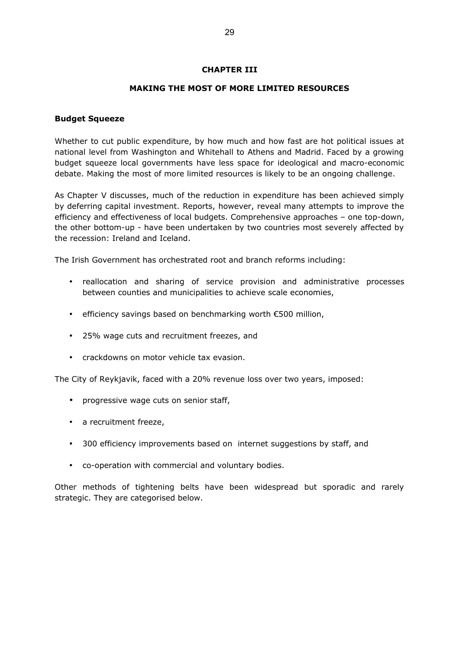# <span id="page-28-1"></span>**CHAPTER III**

# **MAKING THE MOST OF MORE LIMITED RESOURCES**

#### <span id="page-28-0"></span>**Budget Squeeze**

Whether to cut public expenditure, by how much and how fast are hot political issues at national level from Washington and Whitehall to Athens and Madrid. Faced by a growing budget squeeze local governments have less space for ideological and macro-economic debate. Making the most of more limited resources is likely to be an ongoing challenge.

As Chapter V discusses, much of the reduction in expenditure has been achieved simply by deferring capital investment. Reports, however, reveal many attempts to improve the efficiency and effectiveness of local budgets. Comprehensive approaches – one top-down, the other bottom-up - have been undertaken by two countries most severely affected by the recession: Ireland and Iceland.

The Irish Government has orchestrated root and branch reforms including:

- reallocation and sharing of service provision and administrative processes between counties and municipalities to achieve scale economies,
- efficiency savings based on benchmarking worth €500 million,
- 25% wage cuts and recruitment freezes, and
- crackdowns on motor vehicle tax evasion.

The City of Reykjavik, faced with a 20% revenue loss over two years, imposed:

- progressive wage cuts on senior staff,
- a recruitment freeze,
- 300 efficiency improvements based on internet suggestions by staff, and
- co-operation with commercial and voluntary bodies.

Other methods of tightening belts have been widespread but sporadic and rarely strategic. They are categorised below.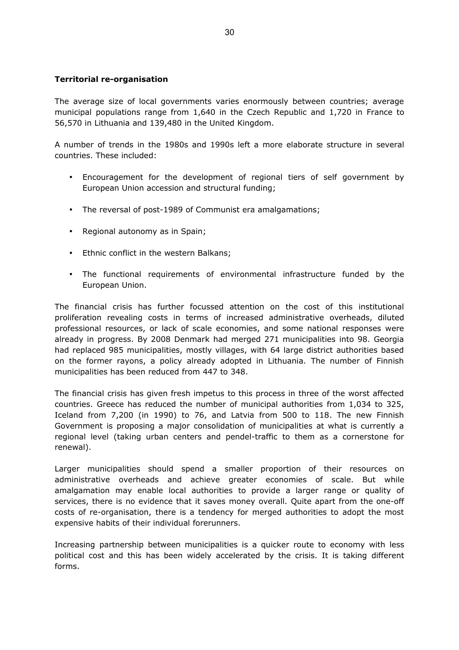# <span id="page-29-0"></span>**Territorial re-organisation**

The average size of local governments varies enormously between countries; average municipal populations range from 1,640 in the Czech Republic and 1,720 in France to 56,570 in Lithuania and 139,480 in the United Kingdom.

A number of trends in the 1980s and 1990s left a more elaborate structure in several countries. These included:

- Encouragement for the development of regional tiers of self government by European Union accession and structural funding;
- The reversal of post-1989 of Communist era amalgamations;
- Regional autonomy as in Spain;
- Ethnic conflict in the western Balkans;
- The functional requirements of environmental infrastructure funded by the European Union.

The financial crisis has further focussed attention on the cost of this institutional proliferation revealing costs in terms of increased administrative overheads, diluted professional resources, or lack of scale economies, and some national responses were already in progress. By 2008 Denmark had merged 271 municipalities into 98. Georgia had replaced 985 municipalities, mostly villages, with 64 large district authorities based on the former rayons, a policy already adopted in Lithuania. The number of Finnish municipalities has been reduced from 447 to 348.

The financial crisis has given fresh impetus to this process in three of the worst affected countries. Greece has reduced the number of municipal authorities from 1,034 to 325, Iceland from 7,200 (in 1990) to 76, and Latvia from 500 to 118. The new Finnish Government is proposing a major consolidation of municipalities at what is currently a regional level (taking urban centers and pendel-traffic to them as a cornerstone for renewal).

Larger municipalities should spend a smaller proportion of their resources on administrative overheads and achieve greater economies of scale. But while amalgamation may enable local authorities to provide a larger range or quality of services, there is no evidence that it saves money overall. Quite apart from the one-off costs of re-organisation, there is a tendency for merged authorities to adopt the most expensive habits of their individual forerunners.

Increasing partnership between municipalities is a quicker route to economy with less political cost and this has been widely accelerated by the crisis. It is taking different forms.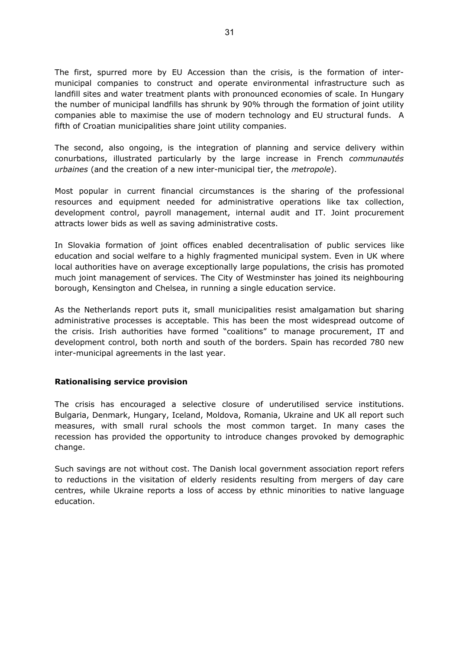The first, spurred more by EU Accession than the crisis, is the formation of intermunicipal companies to construct and operate environmental infrastructure such as landfill sites and water treatment plants with pronounced economies of scale. In Hungary the number of municipal landfills has shrunk by 90% through the formation of joint utility companies able to maximise the use of modern technology and EU structural funds. A fifth of Croatian municipalities share joint utility companies.

The second, also ongoing, is the integration of planning and service delivery within conurbations, illustrated particularly by the large increase in French *communautés urbaines* (and the creation of a new inter-municipal tier, the *metropole*).

Most popular in current financial circumstances is the sharing of the professional resources and equipment needed for administrative operations like tax collection, development control, payroll management, internal audit and IT. Joint procurement attracts lower bids as well as saving administrative costs.

In Slovakia formation of joint offices enabled decentralisation of public services like education and social welfare to a highly fragmented municipal system. Even in UK where local authorities have on average exceptionally large populations, the crisis has promoted much joint management of services. The City of Westminster has joined its neighbouring borough, Kensington and Chelsea, in running a single education service.

As the Netherlands report puts it, small municipalities resist amalgamation but sharing administrative processes is acceptable. This has been the most widespread outcome of the crisis. Irish authorities have formed "coalitions" to manage procurement, IT and development control, both north and south of the borders. Spain has recorded 780 new inter-municipal agreements in the last year.

#### <span id="page-30-0"></span>**Rationalising service provision**

The crisis has encouraged a selective closure of underutilised service institutions. Bulgaria, Denmark, Hungary, Iceland, Moldova, Romania, Ukraine and UK all report such measures, with small rural schools the most common target. In many cases the recession has provided the opportunity to introduce changes provoked by demographic change.

Such savings are not without cost. The Danish local government association report refers to reductions in the visitation of elderly residents resulting from mergers of day care centres, while Ukraine reports a loss of access by ethnic minorities to native language education.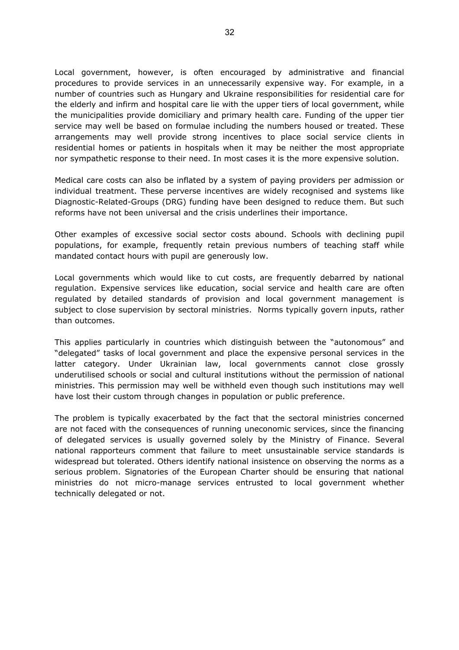Local government, however, is often encouraged by administrative and financial procedures to provide services in an unnecessarily expensive way. For example, in a number of countries such as Hungary and Ukraine responsibilities for residential care for the elderly and infirm and hospital care lie with the upper tiers of local government, while the municipalities provide domiciliary and primary health care. Funding of the upper tier service may well be based on formulae including the numbers housed or treated. These arrangements may well provide strong incentives to place social service clients in residential homes or patients in hospitals when it may be neither the most appropriate nor sympathetic response to their need. In most cases it is the more expensive solution.

Medical care costs can also be inflated by a system of paying providers per admission or individual treatment. These perverse incentives are widely recognised and systems like Diagnostic-Related-Groups (DRG) funding have been designed to reduce them. But such reforms have not been universal and the crisis underlines their importance.

Other examples of excessive social sector costs abound. Schools with declining pupil populations, for example, frequently retain previous numbers of teaching staff while mandated contact hours with pupil are generously low.

Local governments which would like to cut costs, are frequently debarred by national regulation. Expensive services like education, social service and health care are often regulated by detailed standards of provision and local government management is subject to close supervision by sectoral ministries. Norms typically govern inputs, rather than outcomes.

This applies particularly in countries which distinguish between the "autonomous" and "delegated" tasks of local government and place the expensive personal services in the latter category. Under Ukrainian law, local governments cannot close grossly underutilised schools or social and cultural institutions without the permission of national ministries. This permission may well be withheld even though such institutions may well have lost their custom through changes in population or public preference.

The problem is typically exacerbated by the fact that the sectoral ministries concerned are not faced with the consequences of running uneconomic services, since the financing of delegated services is usually governed solely by the Ministry of Finance. Several national rapporteurs comment that failure to meet unsustainable service standards is widespread but tolerated. Others identify national insistence on observing the norms as a serious problem. Signatories of the European Charter should be ensuring that national ministries do not micro-manage services entrusted to local government whether technically delegated or not.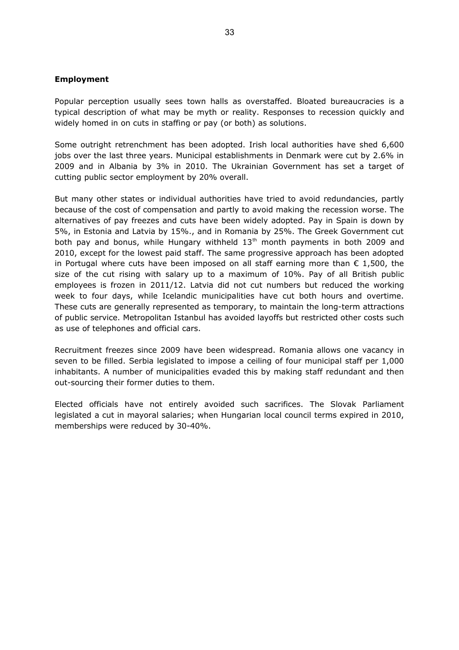#### <span id="page-32-0"></span>**Employment**

Popular perception usually sees town halls as overstaffed. Bloated bureaucracies is a typical description of what may be myth or reality. Responses to recession quickly and widely homed in on cuts in staffing or pay (or both) as solutions.

Some outright retrenchment has been adopted. Irish local authorities have shed 6,600 jobs over the last three years. Municipal establishments in Denmark were cut by 2.6% in 2009 and in Albania by 3% in 2010. The Ukrainian Government has set a target of cutting public sector employment by 20% overall.

But many other states or individual authorities have tried to avoid redundancies, partly because of the cost of compensation and partly to avoid making the recession worse. The alternatives of pay freezes and cuts have been widely adopted. Pay in Spain is down by 5%, in Estonia and Latvia by 15%., and in Romania by 25%. The Greek Government cut both pay and bonus, while Hungary withheld  $13<sup>th</sup>$  month payments in both 2009 and 2010, except for the lowest paid staff. The same progressive approach has been adopted in Portugal where cuts have been imposed on all staff earning more than  $\epsilon$  1,500, the size of the cut rising with salary up to a maximum of 10%. Pay of all British public employees is frozen in 2011/12. Latvia did not cut numbers but reduced the working week to four days, while Icelandic municipalities have cut both hours and overtime. These cuts are generally represented as temporary, to maintain the long-term attractions of public service. Metropolitan Istanbul has avoided layoffs but restricted other costs such as use of telephones and official cars.

Recruitment freezes since 2009 have been widespread. Romania allows one vacancy in seven to be filled. Serbia legislated to impose a ceiling of four municipal staff per 1,000 inhabitants. A number of municipalities evaded this by making staff redundant and then out-sourcing their former duties to them.

Elected officials have not entirely avoided such sacrifices. The Slovak Parliament legislated a cut in mayoral salaries; when Hungarian local council terms expired in 2010, memberships were reduced by 30-40%.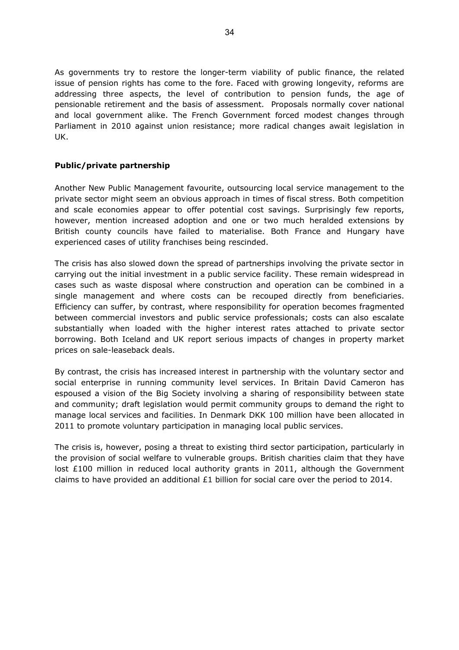As governments try to restore the longer-term viability of public finance, the related issue of pension rights has come to the fore. Faced with growing longevity, reforms are addressing three aspects, the level of contribution to pension funds, the age of pensionable retirement and the basis of assessment. Proposals normally cover national and local government alike. The French Government forced modest changes through Parliament in 2010 against union resistance; more radical changes await legislation in UK.

# <span id="page-33-0"></span>**Public/private partnership**

Another New Public Management favourite, outsourcing local service management to the private sector might seem an obvious approach in times of fiscal stress. Both competition and scale economies appear to offer potential cost savings. Surprisingly few reports, however, mention increased adoption and one or two much heralded extensions by British county councils have failed to materialise. Both France and Hungary have experienced cases of utility franchises being rescinded.

The crisis has also slowed down the spread of partnerships involving the private sector in carrying out the initial investment in a public service facility. These remain widespread in cases such as waste disposal where construction and operation can be combined in a single management and where costs can be recouped directly from beneficiaries. Efficiency can suffer, by contrast, where responsibility for operation becomes fragmented between commercial investors and public service professionals; costs can also escalate substantially when loaded with the higher interest rates attached to private sector borrowing. Both Iceland and UK report serious impacts of changes in property market prices on sale-leaseback deals.

By contrast, the crisis has increased interest in partnership with the voluntary sector and social enterprise in running community level services. In Britain David Cameron has espoused a vision of the Big Society involving a sharing of responsibility between state and community; draft legislation would permit community groups to demand the right to manage local services and facilities. In Denmark DKK 100 million have been allocated in 2011 to promote voluntary participation in managing local public services.

The crisis is, however, posing a threat to existing third sector participation, particularly in the provision of social welfare to vulnerable groups. British charities claim that they have lost £100 million in reduced local authority grants in 2011, although the Government claims to have provided an additional  $£1$  billion for social care over the period to 2014.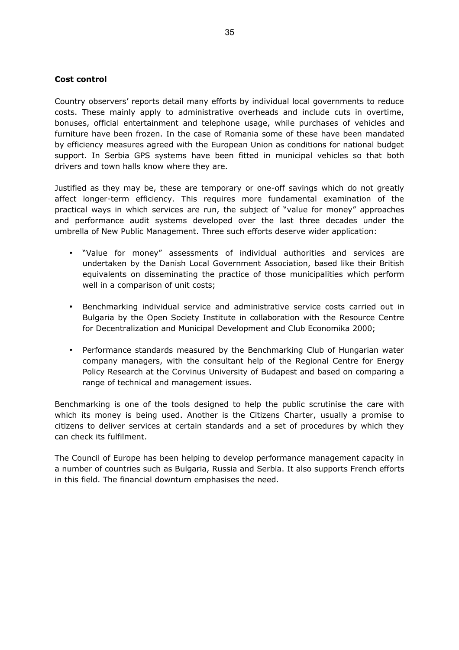# <span id="page-34-0"></span>**Cost control**

Country observers' reports detail many efforts by individual local governments to reduce costs. These mainly apply to administrative overheads and include cuts in overtime, bonuses, official entertainment and telephone usage, while purchases of vehicles and furniture have been frozen. In the case of Romania some of these have been mandated by efficiency measures agreed with the European Union as conditions for national budget support. In Serbia GPS systems have been fitted in municipal vehicles so that both drivers and town halls know where they are.

Justified as they may be, these are temporary or one-off savings which do not greatly affect longer-term efficiency. This requires more fundamental examination of the practical ways in which services are run, the subject of "value for money" approaches and performance audit systems developed over the last three decades under the umbrella of New Public Management. Three such efforts deserve wider application:

- "Value for money" assessments of individual authorities and services are undertaken by the Danish Local Government Association, based like their British equivalents on disseminating the practice of those municipalities which perform well in a comparison of unit costs;
- Benchmarking individual service and administrative service costs carried out in Bulgaria by the Open Society Institute in collaboration with the Resource Centre for Decentralization and Municipal Development and Club Economika 2000;
- Performance standards measured by the Benchmarking Club of Hungarian water company managers, with the consultant help of the Regional Centre for Energy Policy Research at the Corvinus University of Budapest and based on comparing a range of technical and management issues.

Benchmarking is one of the tools designed to help the public scrutinise the care with which its money is being used. Another is the Citizens Charter, usually a promise to citizens to deliver services at certain standards and a set of procedures by which they can check its fulfilment.

The Council of Europe has been helping to develop performance management capacity in a number of countries such as Bulgaria, Russia and Serbia. It also supports French efforts in this field. The financial downturn emphasises the need.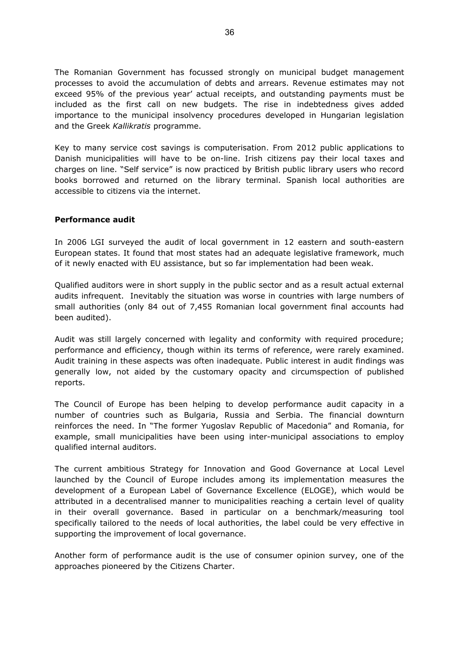The Romanian Government has focussed strongly on municipal budget management processes to avoid the accumulation of debts and arrears. Revenue estimates may not exceed 95% of the previous year' actual receipts, and outstanding payments must be included as the first call on new budgets. The rise in indebtedness gives added importance to the municipal insolvency procedures developed in Hungarian legislation and the Greek *Kallikratis* programme.

Key to many service cost savings is computerisation. From 2012 public applications to Danish municipalities will have to be on-line. Irish citizens pay their local taxes and charges on line. "Self service" is now practiced by British public library users who record books borrowed and returned on the library terminal. Spanish local authorities are accessible to citizens via the internet.

# <span id="page-35-0"></span>**Performance audit**

In 2006 LGI surveyed the audit of local government in 12 eastern and south-eastern European states. It found that most states had an adequate legislative framework, much of it newly enacted with EU assistance, but so far implementation had been weak.

Qualified auditors were in short supply in the public sector and as a result actual external audits infrequent. Inevitably the situation was worse in countries with large numbers of small authorities (only 84 out of 7,455 Romanian local government final accounts had been audited).

Audit was still largely concerned with legality and conformity with required procedure; performance and efficiency, though within its terms of reference, were rarely examined. Audit training in these aspects was often inadequate. Public interest in audit findings was generally low, not aided by the customary opacity and circumspection of published reports.

The Council of Europe has been helping to develop performance audit capacity in a number of countries such as Bulgaria, Russia and Serbia. The financial downturn reinforces the need. In "The former Yugoslav Republic of Macedonia" and Romania, for example, small municipalities have been using inter-municipal associations to employ qualified internal auditors.

The current ambitious Strategy for Innovation and Good Governance at Local Level launched by the Council of Europe includes among its implementation measures the development of a European Label of Governance Excellence (ELOGE), which would be attributed in a decentralised manner to municipalities reaching a certain level of quality in their overall governance. Based in particular on a benchmark/measuring tool specifically tailored to the needs of local authorities, the label could be very effective in supporting the improvement of local governance.

Another form of performance audit is the use of consumer opinion survey, one of the approaches pioneered by the Citizens Charter.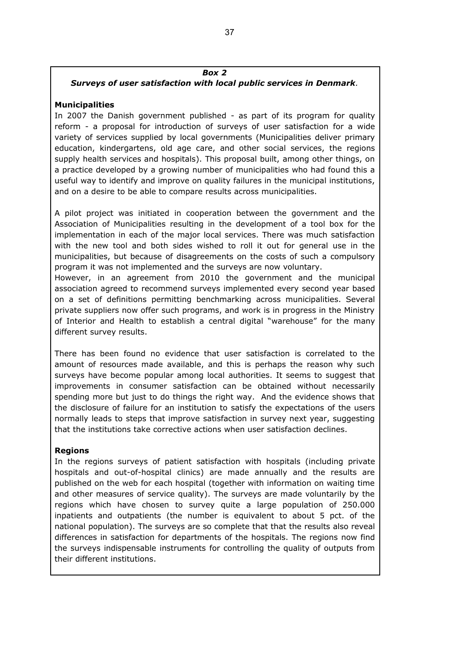# *Box 2*

# *Surveys of user satisfaction with local public services in Denmark.*

# **Municipalities**

In 2007 the Danish government published - as part of its program for quality reform - a proposal for introduction of surveys of user satisfaction for a wide variety of services supplied by local governments (Municipalities deliver primary education, kindergartens, old age care, and other social services, the regions supply health services and hospitals). This proposal built, among other things, on a practice developed by a growing number of municipalities who had found this a useful way to identify and improve on quality failures in the municipal institutions, and on a desire to be able to compare results across municipalities.

A pilot project was initiated in cooperation between the government and the Association of Municipalities resulting in the development of a tool box for the implementation in each of the major local services. There was much satisfaction with the new tool and both sides wished to roll it out for general use in the municipalities, but because of disagreements on the costs of such a compulsory program it was not implemented and the surveys are now voluntary.

However, in an agreement from 2010 the government and the municipal association agreed to recommend surveys implemented every second year based on a set of definitions permitting benchmarking across municipalities. Several private suppliers now offer such programs, and work is in progress in the Ministry of Interior and Health to establish a central digital "warehouse" for the many different survey results.

There has been found no evidence that user satisfaction is correlated to the amount of resources made available, and this is perhaps the reason why such surveys have become popular among local authorities. It seems to suggest that improvements in consumer satisfaction can be obtained without necessarily spending more but just to do things the right way. And the evidence shows that the disclosure of failure for an institution to satisfy the expectations of the users normally leads to steps that improve satisfaction in survey next year, suggesting that the institutions take corrective actions when user satisfaction declines.

#### **Regions**

In the regions surveys of patient satisfaction with hospitals (including private hospitals and out-of-hospital clinics) are made annually and the results are published on the web for each hospital (together with information on waiting time and other measures of service quality). The surveys are made voluntarily by the regions which have chosen to survey quite a large population of 250.000 inpatients and outpatients (the number is equivalent to about 5 pct. of the national population). The surveys are so complete that that the results also reveal differences in satisfaction for departments of the hospitals. The regions now find the surveys indispensable instruments for controlling the quality of outputs from their different institutions.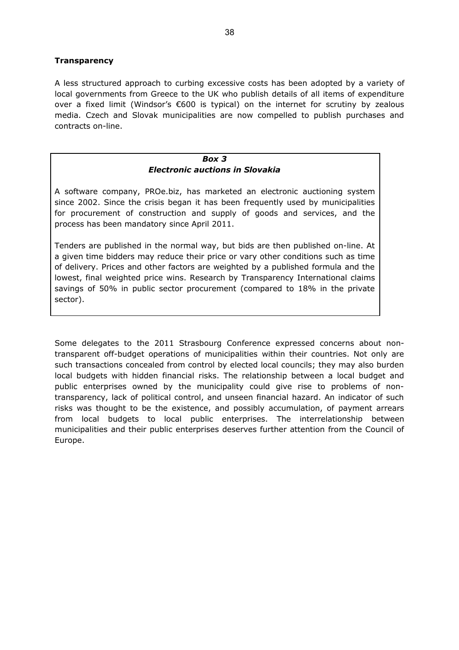# <span id="page-37-0"></span>**Transparency**

A less structured approach to curbing excessive costs has been adopted by a variety of local governments from Greece to the UK who publish details of all items of expenditure over a fixed limit (Windsor's €600 is typical) on the internet for scrutiny by zealous media. Czech and Slovak municipalities are now compelled to publish purchases and contracts on-line.

#### *Box 3 Electronic auctions in Slovakia*

A software company, PROe.biz, has marketed an electronic auctioning system since 2002. Since the crisis began it has been frequently used by municipalities for procurement of construction and supply of goods and services, and the process has been mandatory since April 2011.

Tenders are published in the normal way, but bids are then published on-line. At a given time bidders may reduce their price or vary other conditions such as time of delivery. Prices and other factors are weighted by a published formula and the lowest, final weighted price wins. Research by Transparency International claims savings of 50% in public sector procurement (compared to 18% in the private sector).

Some delegates to the 2011 Strasbourg Conference expressed concerns about nontransparent off-budget operations of municipalities within their countries. Not only are such transactions concealed from control by elected local councils; they may also burden local budgets with hidden financial risks. The relationship between a local budget and public enterprises owned by the municipality could give rise to problems of nontransparency, lack of political control, and unseen financial hazard. An indicator of such risks was thought to be the existence, and possibly accumulation, of payment arrears from local budgets to local public enterprises. The interrelationship between municipalities and their public enterprises deserves further attention from the Council of Europe.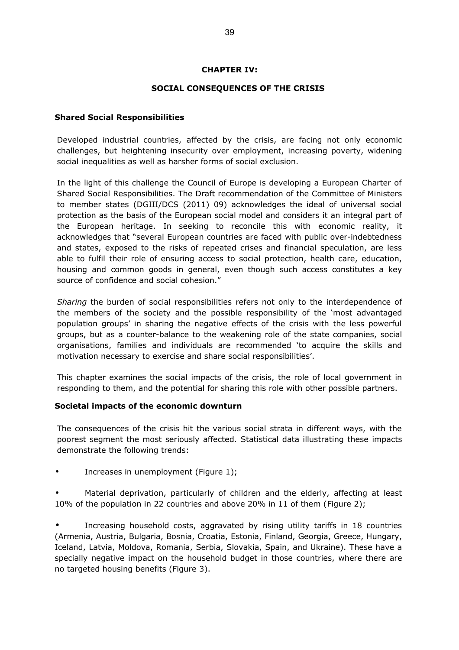# <span id="page-38-2"></span>**CHAPTER IV:**

# **SOCIAL CONSEQUENCES OF THE CRISIS**

# <span id="page-38-1"></span>**Shared Social Responsibilities**

Developed industrial countries, affected by the crisis, are facing not only economic challenges, but heightening insecurity over employment, increasing poverty, widening social inequalities as well as harsher forms of social exclusion.

In the light of this challenge the Council of Europe is developing a European Charter of Shared Social Responsibilities. The Draft recommendation of the Committee of Ministers to member states (DGIII/DCS (2011) 09) acknowledges the ideal of universal social protection as the basis of the European social model and considers it an integral part of the European heritage. In seeking to reconcile this with economic reality, it acknowledges that "several European countries are faced with public over-indebtedness and states, exposed to the risks of repeated crises and financial speculation, are less able to fulfil their role of ensuring access to social protection, health care, education, housing and common goods in general, even though such access constitutes a key source of confidence and social cohesion."

*Sharing* the burden of social responsibilities refers not only to the interdependence of the members of the society and the possible responsibility of the 'most advantaged population groups' in sharing the negative effects of the crisis with the less powerful groups, but as a counter-balance to the weakening role of the state companies, social organisations, families and individuals are recommended 'to acquire the skills and motivation necessary to exercise and share social responsibilities'.

This chapter examines the social impacts of the crisis, the role of local government in responding to them, and the potential for sharing this role with other possible partners.

#### <span id="page-38-0"></span>**Societal impacts of the economic downturn**

The consequences of the crisis hit the various social strata in different ways, with the poorest segment the most seriously affected. Statistical data illustrating these impacts demonstrate the following trends:

Increases in unemployment (Figure 1);

Material deprivation, particularly of children and the elderly, affecting at least 10% of the population in 22 countries and above 20% in 11 of them (Figure 2);

• Increasing household costs, aggravated by rising utility tariffs in 18 countries (Armenia, Austria, Bulgaria, Bosnia, Croatia, Estonia, Finland, Georgia, Greece, Hungary, Iceland, Latvia, Moldova, Romania, Serbia, Slovakia, Spain, and Ukraine). These have a specially negative impact on the household budget in those countries, where there are no targeted housing benefits (Figure 3).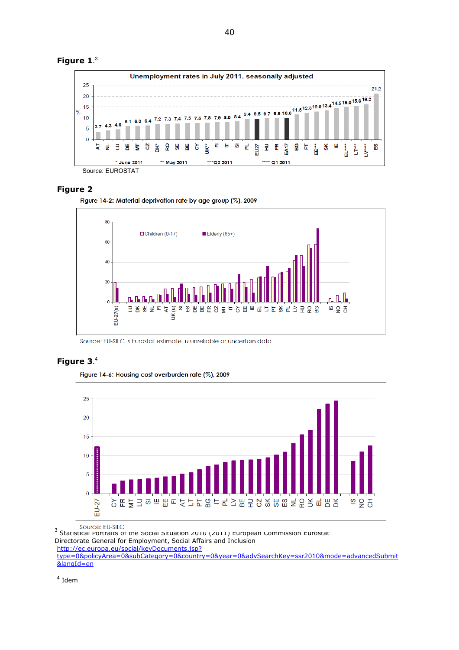

#### **Figure 2**

Figure 14-2: Material deprivation rate by age group (%), 2009



Source: EU-SILC. s Eurostat estimate. u unreliable or uncertain data

# **Figure 3**. [4](#page-39-1)





<span id="page-39-1"></span><span id="page-39-0"></span> $^3$  Statistical Portraits of the Social Situation 2010 (2011) European Commission Eurostat Directorate General for Employment, Social Affairs and Inclusion [http://ec.europa.eu/social/keyDocuments.jsp?](http://ec.europa.eu/social/keyDocuments.jsp?type=0&policyArea=0&subCategory=0&country=0&year=0&advSearchKey=ssr2010&mode=advancedSubmit&langId=en) [type=0&policyArea=0&subCategory=0&country=0&year=0&advSearchKey=ssr2010&mode=advancedSubmit](http://ec.europa.eu/social/keyDocuments.jsp?type=0&policyArea=0&subCategory=0&country=0&year=0&advSearchKey=ssr2010&mode=advancedSubmit&langId=en) [&langId=en](http://ec.europa.eu/social/keyDocuments.jsp?type=0&policyArea=0&subCategory=0&country=0&year=0&advSearchKey=ssr2010&mode=advancedSubmit&langId=en)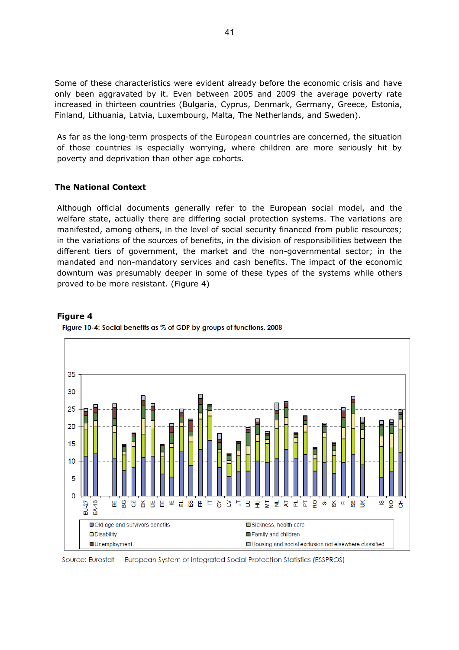Some of these characteristics were evident already before the economic crisis and have only been aggravated by it. Even between 2005 and 2009 the average poverty rate increased in thirteen countries (Bulgaria, Cyprus, Denmark, Germany, Greece, Estonia, Finland, Lithuania, Latvia, Luxembourg, Malta, The Netherlands, and Sweden).

As far as the long-term prospects of the European countries are concerned, the situation of those countries is especially worrying, where children are more seriously hit by poverty and deprivation than other age cohorts.

#### <span id="page-40-0"></span>**The National Context**

Although official documents generally refer to the European social model, and the welfare state, actually there are differing social protection systems. The variations are manifested, among others, in the level of social security financed from public resources; in the variations of the sources of benefits, in the division of responsibilities between the different tiers of government, the market and the non-governmental sector; in the mandated and non-mandatory services and cash benefits. The impact of the economic downturn was presumably deeper in some of these types of the systems while others proved to be more resistant. (Figure 4)





Figure 10-4: Social benefits as % of GDP by groups of functions, 2008

Source: Eurostat — European System of integrated Social Protection Statistics (ESSPROS)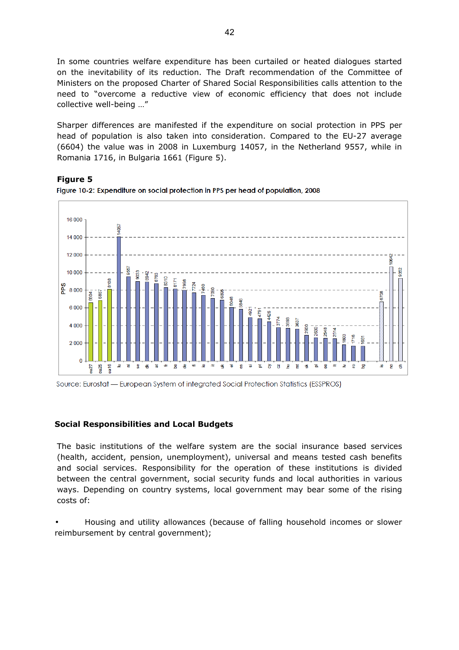In some countries welfare expenditure has been curtailed or heated dialogues started on the inevitability of its reduction. The Draft recommendation of the Committee of Ministers on the proposed Charter of Shared Social Responsibilities calls attention to the need to "overcome a reductive view of economic efficiency that does not include collective well-being …"

Sharper differences are manifested if the expenditure on social protection in PPS per head of population is also taken into consideration. Compared to the EU-27 average (6604) the value was in 2008 in Luxemburg 14057, in the Netherland 9557, while in Romania 1716, in Bulgaria 1661 (Figure 5).

#### **Figure 5**



Figure 10-2: Expenditure on social protection in PPS per head of population, 2008

Source: Eurostat - European System of integrated Social Protection Statistics (ESSPROS)

#### <span id="page-41-0"></span>**Social Responsibilities and Local Budgets**

The basic institutions of the welfare system are the social insurance based services (health, accident, pension, unemployment), universal and means tested cash benefits and social services. Responsibility for the operation of these institutions is divided between the central government, social security funds and local authorities in various ways. Depending on country systems, local government may bear some of the rising costs of:

• Housing and utility allowances (because of falling household incomes or slower reimbursement by central government);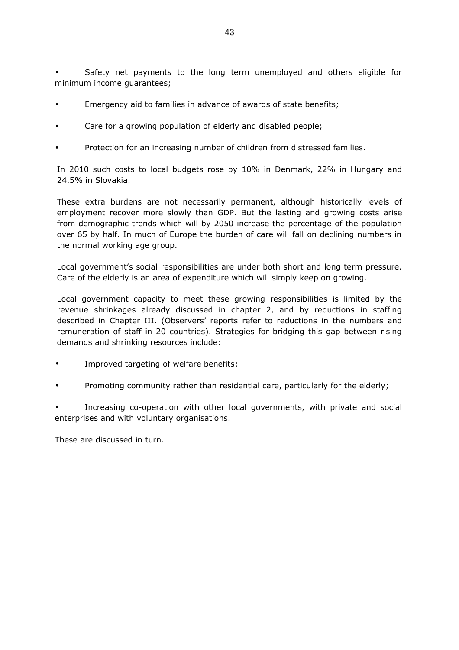Safety net payments to the long term unemployed and others eligible for minimum income guarantees;

- Emergency aid to families in advance of awards of state benefits;
- Care for a growing population of elderly and disabled people;
- Protection for an increasing number of children from distressed families.

In 2010 such costs to local budgets rose by 10% in Denmark, 22% in Hungary and 24.5% in Slovakia.

These extra burdens are not necessarily permanent, although historically levels of employment recover more slowly than GDP. But the lasting and growing costs arise from demographic trends which will by 2050 increase the percentage of the population over 65 by half. In much of Europe the burden of care will fall on declining numbers in the normal working age group.

Local government's social responsibilities are under both short and long term pressure. Care of the elderly is an area of expenditure which will simply keep on growing.

Local government capacity to meet these growing responsibilities is limited by the revenue shrinkages already discussed in chapter 2, and by reductions in staffing described in Chapter III. (Observers' reports refer to reductions in the numbers and remuneration of staff in 20 countries). Strategies for bridging this gap between rising demands and shrinking resources include:

- Improved targeting of welfare benefits;
- Promoting community rather than residential care, particularly for the elderly;

• Increasing co-operation with other local governments, with private and social enterprises and with voluntary organisations.

These are discussed in turn.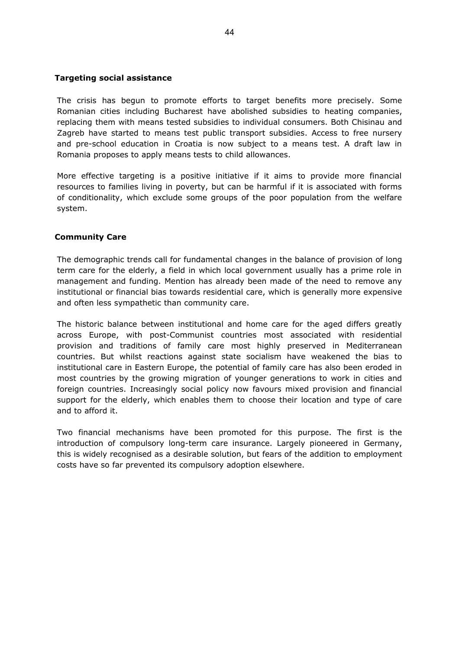# <span id="page-43-1"></span>**Targeting social assistance**

The crisis has begun to promote efforts to target benefits more precisely. Some Romanian cities including Bucharest have abolished subsidies to heating companies, replacing them with means tested subsidies to individual consumers. Both Chisinau and Zagreb have started to means test public transport subsidies. Access to free nursery and pre-school education in Croatia is now subject to a means test. A draft law in Romania proposes to apply means tests to child allowances.

More effective targeting is a positive initiative if it aims to provide more financial resources to families living in poverty, but can be harmful if it is associated with forms of conditionality, which exclude some groups of the poor population from the welfare system.

# <span id="page-43-0"></span>**Community Care**

The demographic trends call for fundamental changes in the balance of provision of long term care for the elderly, a field in which local government usually has a prime role in management and funding. Mention has already been made of the need to remove any institutional or financial bias towards residential care, which is generally more expensive and often less sympathetic than community care.

The historic balance between institutional and home care for the aged differs greatly across Europe, with post-Communist countries most associated with residential provision and traditions of family care most highly preserved in Mediterranean countries. But whilst reactions against state socialism have weakened the bias to institutional care in Eastern Europe, the potential of family care has also been eroded in most countries by the growing migration of younger generations to work in cities and foreign countries. Increasingly social policy now favours mixed provision and financial support for the elderly, which enables them to choose their location and type of care and to afford it.

Two financial mechanisms have been promoted for this purpose. The first is the introduction of compulsory long-term care insurance. Largely pioneered in Germany, this is widely recognised as a desirable solution, but fears of the addition to employment costs have so far prevented its compulsory adoption elsewhere.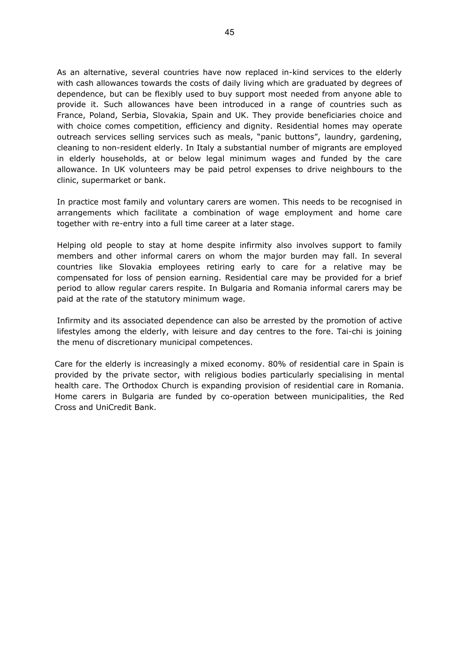As an alternative, several countries have now replaced in-kind services to the elderly with cash allowances towards the costs of daily living which are graduated by degrees of dependence, but can be flexibly used to buy support most needed from anyone able to provide it. Such allowances have been introduced in a range of countries such as France, Poland, Serbia, Slovakia, Spain and UK. They provide beneficiaries choice and with choice comes competition, efficiency and dignity. Residential homes may operate outreach services selling services such as meals, "panic buttons", laundry, gardening, cleaning to non-resident elderly. In Italy a substantial number of migrants are employed in elderly households, at or below legal minimum wages and funded by the care allowance. In UK volunteers may be paid petrol expenses to drive neighbours to the clinic, supermarket or bank.

In practice most family and voluntary carers are women. This needs to be recognised in arrangements which facilitate a combination of wage employment and home care together with re-entry into a full time career at a later stage.

Helping old people to stay at home despite infirmity also involves support to family members and other informal carers on whom the major burden may fall. In several countries like Slovakia employees retiring early to care for a relative may be compensated for loss of pension earning. Residential care may be provided for a brief period to allow regular carers respite. In Bulgaria and Romania informal carers may be paid at the rate of the statutory minimum wage.

Infirmity and its associated dependence can also be arrested by the promotion of active lifestyles among the elderly, with leisure and day centres to the fore. Tai-chi is joining the menu of discretionary municipal competences.

Care for the elderly is increasingly a mixed economy. 80% of residential care in Spain is provided by the private sector, with religious bodies particularly specialising in mental health care. The Orthodox Church is expanding provision of residential care in Romania. Home carers in Bulgaria are funded by co-operation between municipalities, the Red Cross and UniCredit Bank.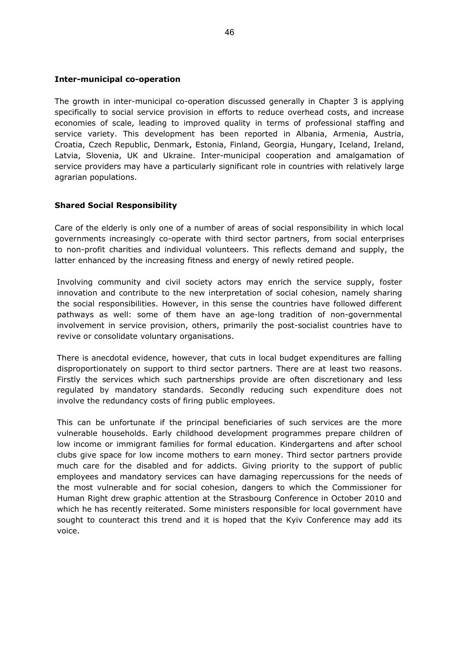# <span id="page-45-1"></span>**Inter-municipal co-operation**

The growth in inter-municipal co-operation discussed generally in Chapter 3 is applying specifically to social service provision in efforts to reduce overhead costs, and increase economies of scale, leading to improved quality in terms of professional staffing and service variety. This development has been reported in Albania, Armenia, Austria, Croatia, Czech Republic, Denmark, Estonia, Finland, Georgia, Hungary, Iceland, Ireland, Latvia, Slovenia, UK and Ukraine. Inter-municipal cooperation and amalgamation of service providers may have a particularly significant role in countries with relatively large agrarian populations.

# <span id="page-45-0"></span>**Shared Social Responsibility**

Care of the elderly is only one of a number of areas of social responsibility in which local governments increasingly co-operate with third sector partners, from social enterprises to non-profit charities and individual volunteers. This reflects demand and supply, the latter enhanced by the increasing fitness and energy of newly retired people.

Involving community and civil society actors may enrich the service supply, foster innovation and contribute to the new interpretation of social cohesion, namely sharing the social responsibilities. However, in this sense the countries have followed different pathways as well: some of them have an age-long tradition of non-governmental involvement in service provision, others, primarily the post-socialist countries have to revive or consolidate voluntary organisations.

There is anecdotal evidence, however, that cuts in local budget expenditures are falling disproportionately on support to third sector partners. There are at least two reasons. Firstly the services which such partnerships provide are often discretionary and less regulated by mandatory standards. Secondly reducing such expenditure does not involve the redundancy costs of firing public employees.

This can be unfortunate if the principal beneficiaries of such services are the more vulnerable households. Early childhood development programmes prepare children of low income or immigrant families for formal education. Kindergartens and after school clubs give space for low income mothers to earn money. Third sector partners provide much care for the disabled and for addicts. Giving priority to the support of public employees and mandatory services can have damaging repercussions for the needs of the most vulnerable and for social cohesion, dangers to which the Commissioner for Human Right drew graphic attention at the Strasbourg Conference in October 2010 and which he has recently reiterated. Some ministers responsible for local government have sought to counteract this trend and it is hoped that the Kyiv Conference may add its voice.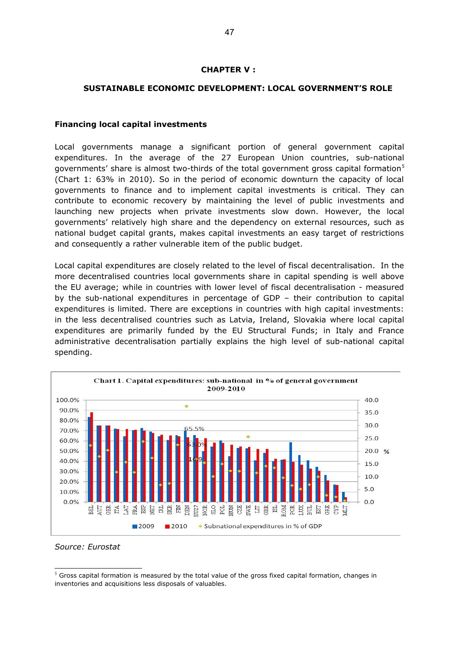# <span id="page-46-1"></span>**CHAPTER V :**

# **SUSTAINABLE ECONOMIC DEVELOPMENT: LOCAL GOVERNMENT'S ROLE**

#### <span id="page-46-0"></span>**Financing local capital investments**

Local governments manage a significant portion of general government capital expenditures. In the average of the 27 European Union countries, sub-national governments' share is almost two-thirds of the total government gross capital formation<sup>[5](#page-46-2)</sup> (Chart 1: 63% in 2010). So in the period of economic downturn the capacity of local governments to finance and to implement capital investments is critical. They can contribute to economic recovery by maintaining the level of public investments and launching new projects when private investments slow down. However, the local governments' relatively high share and the dependency on external resources, such as national budget capital grants, makes capital investments an easy target of restrictions and consequently a rather vulnerable item of the public budget.

Local capital expenditures are closely related to the level of fiscal decentralisation. In the more decentralised countries local governments share in capital spending is well above the EU average; while in countries with lower level of fiscal decentralisation - measured by the sub-national expenditures in percentage of GDP – their contribution to capital expenditures is limited. There are exceptions in countries with high capital investments: in the less decentralised countries such as Latvia, Ireland, Slovakia where local capital expenditures are primarily funded by the EU Structural Funds; in Italy and France administrative decentralisation partially explains the high level of sub-national capital spending.





<span id="page-46-2"></span> $<sup>5</sup>$  Gross capital formation is measured by the total value of the gross fixed capital formation, changes in</sup> inventories and acquisitions less disposals of valuables.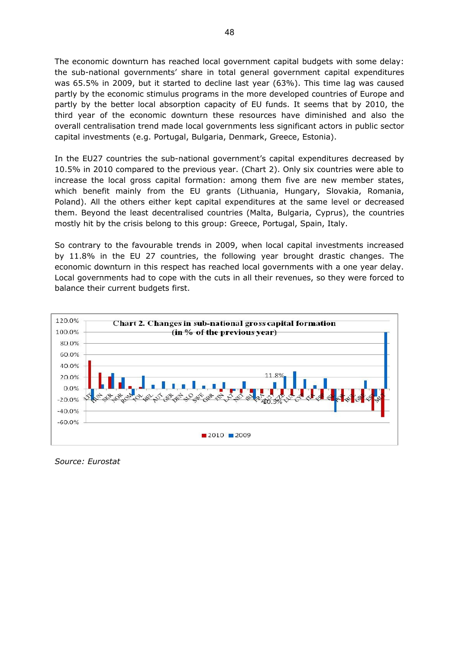The economic downturn has reached local government capital budgets with some delay: the sub-national governments' share in total general government capital expenditures was 65.5% in 2009, but it started to decline last year (63%). This time lag was caused partly by the economic stimulus programs in the more developed countries of Europe and partly by the better local absorption capacity of EU funds. It seems that by 2010, the third year of the economic downturn these resources have diminished and also the overall centralisation trend made local governments less significant actors in public sector capital investments (e.g. Portugal, Bulgaria, Denmark, Greece, Estonia).

In the EU27 countries the sub-national government's capital expenditures decreased by 10.5% in 2010 compared to the previous year. (Chart 2). Only six countries were able to increase the local gross capital formation: among them five are new member states, which benefit mainly from the EU grants (Lithuania, Hungary, Slovakia, Romania, Poland). All the others either kept capital expenditures at the same level or decreased them. Beyond the least decentralised countries (Malta, Bulgaria, Cyprus), the countries mostly hit by the crisis belong to this group: Greece, Portugal, Spain, Italy.

So contrary to the favourable trends in 2009, when local capital investments increased by 11.8% in the EU 27 countries, the following year brought drastic changes. The economic downturn in this respect has reached local governments with a one year delay. Local governments had to cope with the cuts in all their revenues, so they were forced to balance their current budgets first.



*Source: Eurostat*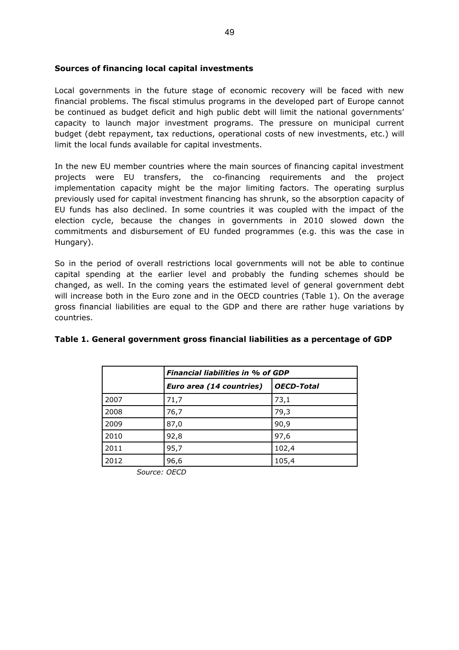#### <span id="page-48-0"></span>**Sources of financing local capital investments**

Local governments in the future stage of economic recovery will be faced with new financial problems. The fiscal stimulus programs in the developed part of Europe cannot be continued as budget deficit and high public debt will limit the national governments' capacity to launch major investment programs. The pressure on municipal current budget (debt repayment, tax reductions, operational costs of new investments, etc.) will limit the local funds available for capital investments.

In the new EU member countries where the main sources of financing capital investment projects were EU transfers, the co-financing requirements and the project implementation capacity might be the major limiting factors. The operating surplus previously used for capital investment financing has shrunk, so the absorption capacity of EU funds has also declined. In some countries it was coupled with the impact of the election cycle, because the changes in governments in 2010 slowed down the commitments and disbursement of EU funded programmes (e.g. this was the case in Hungary).

So in the period of overall restrictions local governments will not be able to continue capital spending at the earlier level and probably the funding schemes should be changed, as well. In the coming years the estimated level of general government debt will increase both in the Euro zone and in the OECD countries (Table 1). On the average gross financial liabilities are equal to the GDP and there are rather huge variations by countries.

|      | <b>Financial liabilities in % of GDP</b> |                   |  |
|------|------------------------------------------|-------------------|--|
|      | Euro area (14 countries)                 | <b>OECD-Total</b> |  |
| 2007 | 71,7                                     | 73,1              |  |
| 2008 | 76,7                                     | 79,3              |  |
| 2009 | 87,0                                     | 90,9              |  |
| 2010 | 92,8                                     | 97,6              |  |
| 2011 | 95,7                                     | 102,4             |  |
| 2012 | 96,6                                     | 105,4             |  |

# **Table 1. General government gross financial liabilities as a percentage of GDP**

*Source: OECD*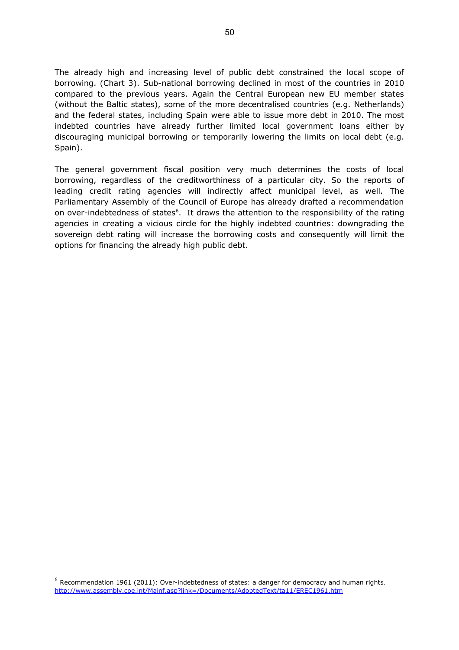The already high and increasing level of public debt constrained the local scope of borrowing. (Chart 3). Sub-national borrowing declined in most of the countries in 2010 compared to the previous years. Again the Central European new EU member states (without the Baltic states), some of the more decentralised countries (e.g. Netherlands) and the federal states, including Spain were able to issue more debt in 2010. The most indebted countries have already further limited local government loans either by discouraging municipal borrowing or temporarily lowering the limits on local debt (e.g. Spain).

The general government fiscal position very much determines the costs of local borrowing, regardless of the creditworthiness of a particular city. So the reports of leading credit rating agencies will indirectly affect municipal level, as well. The Parliamentary Assembly of the Council of Europe has already drafted a recommendation on over-indebtedness of states<sup>[6](#page-49-0)</sup>. It draws the attention to the responsibility of the rating agencies in creating a vicious circle for the highly indebted countries: downgrading the sovereign debt rating will increase the borrowing costs and consequently will limit the options for financing the already high public debt.

<span id="page-49-0"></span> $^6$  Recommendation 1961 (2011): Over-indebtedness of states: a danger for democracy and human rights. <http://www.assembly.coe.int/Mainf.asp?link=/Documents/AdoptedText/ta11/EREC1961.htm>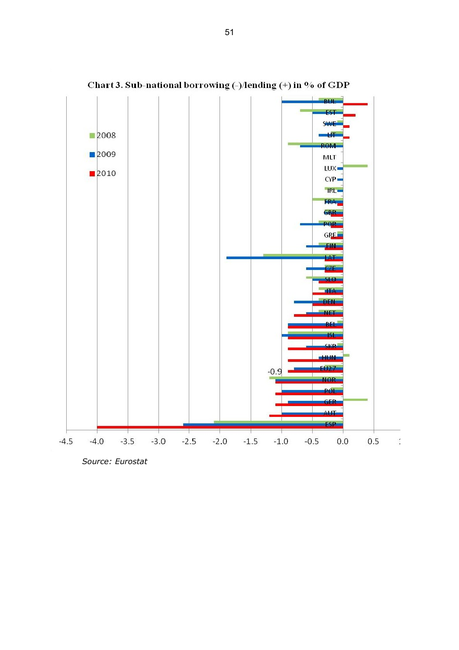

Chart 3. Sub-national borrowing (-)/lending (+) in % of GDP

*Source: Eurostat*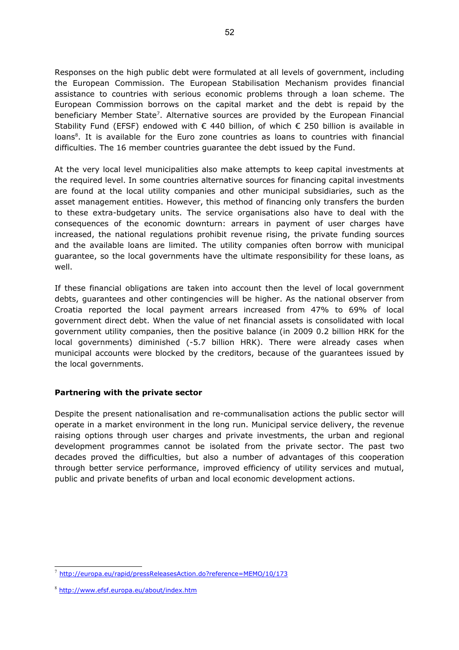Responses on the high public debt were formulated at all levels of government, including the European Commission. The European Stabilisation Mechanism provides financial assistance to countries with serious economic problems through a loan scheme. The European Commission borrows on the capital market and the debt is repaid by the beneficiary Member State<sup>[7](#page-51-1)</sup>. Alternative sources are provided by the European Financial Stability Fund (EFSF) endowed with  $\epsilon$  440 billion, of which  $\epsilon$  250 billion is available in loans<sup>[8](#page-51-2)</sup>. It is available for the Euro zone countries as loans to countries with financial difficulties. The 16 member countries guarantee the debt issued by the Fund.

At the very local level municipalities also make attempts to keep capital investments at the required level. In some countries alternative sources for financing capital investments are found at the local utility companies and other municipal subsidiaries, such as the asset management entities. However, this method of financing only transfers the burden to these extra-budgetary units. The service organisations also have to deal with the consequences of the economic downturn: arrears in payment of user charges have increased, the national regulations prohibit revenue rising, the private funding sources and the available loans are limited. The utility companies often borrow with municipal guarantee, so the local governments have the ultimate responsibility for these loans, as well.

If these financial obligations are taken into account then the level of local government debts, guarantees and other contingencies will be higher. As the national observer from Croatia reported the local payment arrears increased from 47% to 69% of local government direct debt. When the value of net financial assets is consolidated with local government utility companies, then the positive balance (in 2009 0.2 billion HRK for the local governments) diminished (-5.7 billion HRK). There were already cases when municipal accounts were blocked by the creditors, because of the guarantees issued by the local governments.

# <span id="page-51-0"></span>**Partnering with the private sector**

Despite the present nationalisation and re-communalisation actions the public sector will operate in a market environment in the long run. Municipal service delivery, the revenue raising options through user charges and private investments, the urban and regional development programmes cannot be isolated from the private sector. The past two decades proved the difficulties, but also a number of advantages of this cooperation through better service performance, improved efficiency of utility services and mutual, public and private benefits of urban and local economic development actions.

<span id="page-51-1"></span><sup>7</sup> <http://europa.eu/rapid/pressReleasesAction.do?reference=MEMO/10/173>

<span id="page-51-2"></span><sup>8</sup> <http://www.efsf.europa.eu/about/index.htm>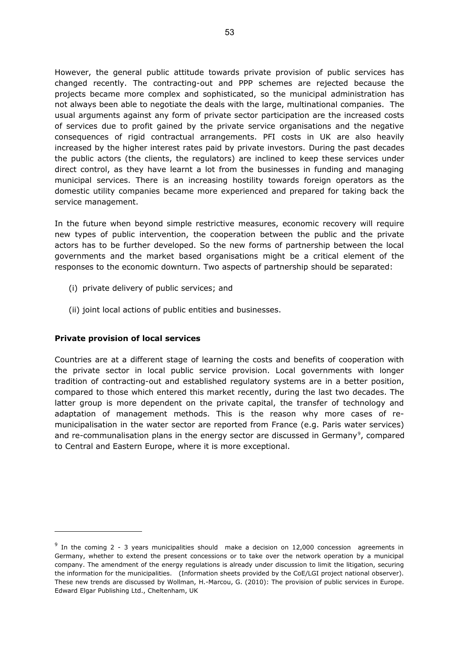However, the general public attitude towards private provision of public services has changed recently. The contracting-out and PPP schemes are rejected because the projects became more complex and sophisticated, so the municipal administration has not always been able to negotiate the deals with the large, multinational companies. The usual arguments against any form of private sector participation are the increased costs of services due to profit gained by the private service organisations and the negative consequences of rigid contractual arrangements. PFI costs in UK are also heavily increased by the higher interest rates paid by private investors. During the past decades the public actors (the clients, the regulators) are inclined to keep these services under direct control, as they have learnt a lot from the businesses in funding and managing municipal services. There is an increasing hostility towards foreign operators as the domestic utility companies became more experienced and prepared for taking back the service management.

In the future when beyond simple restrictive measures, economic recovery will require new types of public intervention, the cooperation between the public and the private actors has to be further developed. So the new forms of partnership between the local governments and the market based organisations might be a critical element of the responses to the economic downturn. Two aspects of partnership should be separated:

- (i) private delivery of public services; and
- (ii) joint local actions of public entities and businesses.

#### <span id="page-52-1"></span>**Private provision of local services**

Countries are at a different stage of learning the costs and benefits of cooperation with the private sector in local public service provision. Local governments with longer tradition of contracting-out and established regulatory systems are in a better position, compared to those which entered this market recently, during the last two decades. The latter group is more dependent on the private capital, the transfer of technology and adaptation of management methods. This is the reason why more cases of remunicipalisation in the water sector are reported from France (e.g. Paris water services) and re-communalisation plans in the energy sector are discussed in Germany<sup>[9](#page-52-0)</sup>, compared to Central and Eastern Europe, where it is more exceptional.

<span id="page-52-0"></span> $9$  In the coming 2 - 3 years municipalities should make a decision on 12,000 concession agreements in Germany, whether to extend the present concessions or to take over the network operation by a municipal company. The amendment of the energy regulations is already under discussion to limit the litigation, securing the information for the municipalities. (Information sheets provided by the CoE/LGI project national observer). These new trends are discussed by Wollman, H.-Marcou, G. (2010): The provision of public services in Europe. Edward Elgar Publishing Ltd., Cheltenham, UK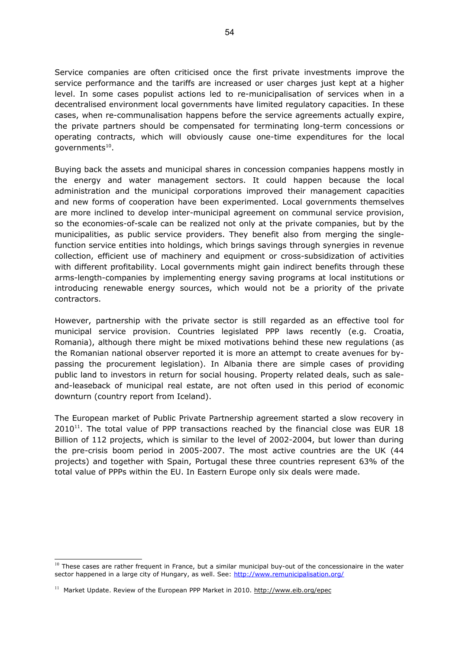Service companies are often criticised once the first private investments improve the service performance and the tariffs are increased or user charges just kept at a higher level. In some cases populist actions led to re-municipalisation of services when in a decentralised environment local governments have limited regulatory capacities. In these cases, when re-communalisation happens before the service agreements actually expire, the private partners should be compensated for terminating long-term concessions or operating contracts, which will obviously cause one-time expenditures for the local governments<sup>[10](#page-53-0)</sup>.

Buying back the assets and municipal shares in concession companies happens mostly in the energy and water management sectors. It could happen because the local administration and the municipal corporations improved their management capacities and new forms of cooperation have been experimented. Local governments themselves are more inclined to develop inter-municipal agreement on communal service provision, so the economies-of-scale can be realized not only at the private companies, but by the municipalities, as public service providers. They benefit also from merging the singlefunction service entities into holdings, which brings savings through synergies in revenue collection, efficient use of machinery and equipment or cross-subsidization of activities with different profitability. Local governments might gain indirect benefits through these arms-length-companies by implementing energy saving programs at local institutions or introducing renewable energy sources, which would not be a priority of the private contractors.

However, partnership with the private sector is still regarded as an effective tool for municipal service provision. Countries legislated PPP laws recently (e.g. Croatia, Romania), although there might be mixed motivations behind these new regulations (as the Romanian national observer reported it is more an attempt to create avenues for bypassing the procurement legislation). In Albania there are simple cases of providing public land to investors in return for social housing. Property related deals, such as saleand-leaseback of municipal real estate, are not often used in this period of economic downturn (country report from Iceland).

The European market of Public Private Partnership agreement started a slow recovery in  $2010^{11}$  $2010^{11}$  $2010^{11}$ . The total value of PPP transactions reached by the financial close was EUR 18 Billion of 112 projects, which is similar to the level of 2002-2004, but lower than during the pre-crisis boom period in 2005-2007. The most active countries are the UK (44 projects) and together with Spain, Portugal these three countries represent 63% of the total value of PPPs within the EU. In Eastern Europe only six deals were made.

<span id="page-53-0"></span> $10$  These cases are rather frequent in France, but a similar municipal buy-out of the concessionaire in the water sector happened in a large city of Hungary, as well. See:<http://www.remunicipalisation.org/>

<span id="page-53-1"></span> $11$  Market Update. Review of the European PPP Market in 2010. http://www.eib.org/epec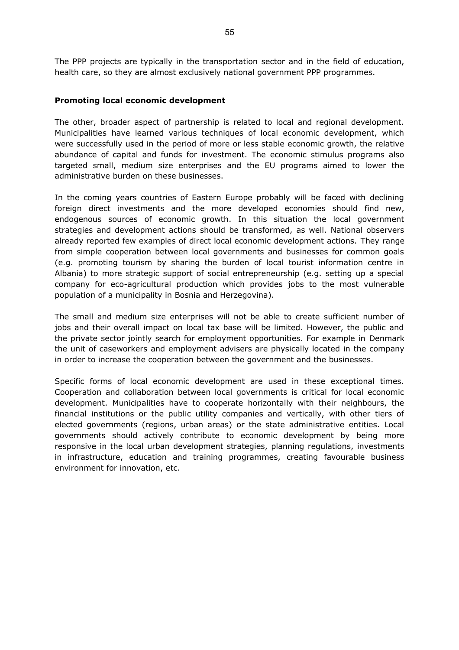The PPP projects are typically in the transportation sector and in the field of education, health care, so they are almost exclusively national government PPP programmes.

#### <span id="page-54-0"></span>**Promoting local economic development**

The other, broader aspect of partnership is related to local and regional development. Municipalities have learned various techniques of local economic development, which were successfully used in the period of more or less stable economic growth, the relative abundance of capital and funds for investment. The economic stimulus programs also targeted small, medium size enterprises and the EU programs aimed to lower the administrative burden on these businesses.

In the coming years countries of Eastern Europe probably will be faced with declining foreign direct investments and the more developed economies should find new, endogenous sources of economic growth. In this situation the local government strategies and development actions should be transformed, as well. National observers already reported few examples of direct local economic development actions. They range from simple cooperation between local governments and businesses for common goals (e.g. promoting tourism by sharing the burden of local tourist information centre in Albania) to more strategic support of social entrepreneurship (e.g. setting up a special company for eco-agricultural production which provides jobs to the most vulnerable population of a municipality in Bosnia and Herzegovina).

The small and medium size enterprises will not be able to create sufficient number of jobs and their overall impact on local tax base will be limited. However, the public and the private sector jointly search for employment opportunities. For example in Denmark the unit of caseworkers and employment advisers are physically located in the company in order to increase the cooperation between the government and the businesses.

Specific forms of local economic development are used in these exceptional times. Cooperation and collaboration between local governments is critical for local economic development. Municipalities have to cooperate horizontally with their neighbours, the financial institutions or the public utility companies and vertically, with other tiers of elected governments (regions, urban areas) or the state administrative entities. Local governments should actively contribute to economic development by being more responsive in the local urban development strategies, planning regulations, investments in infrastructure, education and training programmes, creating favourable business environment for innovation, etc.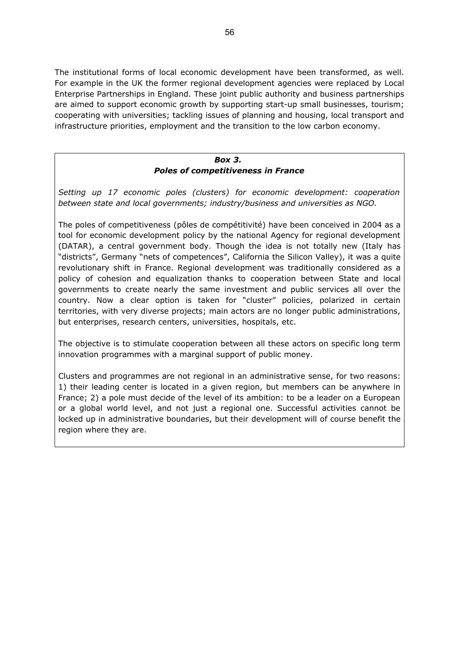The institutional forms of local economic development have been transformed, as well. For example in the UK the former regional development agencies were replaced by Local Enterprise Partnerships in England. These joint public authority and business partnerships are aimed to support economic growth by supporting start-up small businesses, tourism; cooperating with universities; tackling issues of planning and housing, local transport and infrastructure priorities, employment and the transition to the low carbon economy.

# *Box 3. Poles of competitiveness in France*

*Setting up 17 economic poles (clusters) for economic development: cooperation between state and local governments; industry/business and universities as NGO.*

The poles of competitiveness (pôles de compétitivité) have been conceived in 2004 as a tool for economic development policy by the national Agency for regional development (DATAR), a central government body. Though the idea is not totally new (Italy has "districts", Germany "nets of competences", California the Silicon Valley), it was a quite revolutionary shift in France. Regional development was traditionally considered as a policy of cohesion and equalization thanks to cooperation between State and local governments to create nearly the same investment and public services all over the country. Now a clear option is taken for "cluster" policies, polarized in certain territories, with very diverse projects; main actors are no longer public administrations, but enterprises, research centers, universities, hospitals, etc.

The objective is to stimulate cooperation between all these actors on specific long term innovation programmes with a marginal support of public money.

Clusters and programmes are not regional in an administrative sense, for two reasons: 1) their leading center is located in a given region, but members can be anywhere in France; 2) a pole must decide of the level of its ambition: to be a leader on a European or a global world level, and not just a regional one. Successful activities cannot be locked up in administrative boundaries, but their development will of course benefit the region where they are.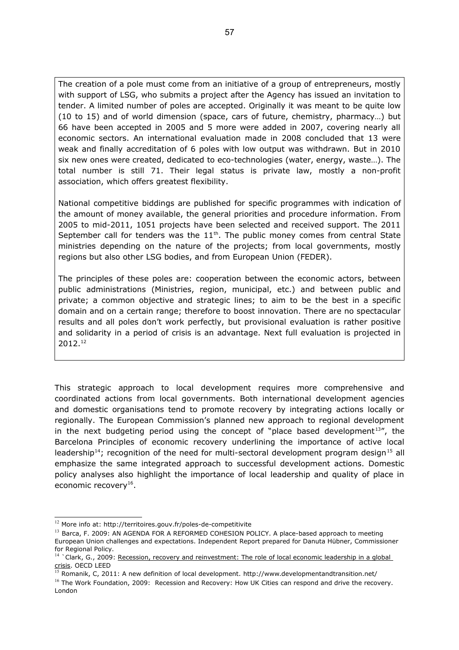The creation of a pole must come from an initiative of a group of entrepreneurs, mostly with support of LSG, who submits a project after the Agency has issued an invitation to tender. A limited number of poles are accepted. Originally it was meant to be quite low (10 to 15) and of world dimension (space, cars of future, chemistry, pharmacy…) but 66 have been accepted in 2005 and 5 more were added in 2007, covering nearly all economic sectors. An international evaluation made in 2008 concluded that 13 were weak and finally accreditation of 6 poles with low output was withdrawn. But in 2010 six new ones were created, dedicated to eco-technologies (water, energy, waste…). The total number is still 71. Their legal status is private law, mostly a non-profit association, which offers greatest flexibility.

National competitive biddings are published for specific programmes with indication of the amount of money available, the general priorities and procedure information. From 2005 to mid-2011, 1051 projects have been selected and received support. The 2011 September call for tenders was the  $11<sup>th</sup>$ . The public money comes from central State ministries depending on the nature of the projects; from local governments, mostly regions but also other LSG bodies, and from European Union (FEDER).

The principles of these poles are: cooperation between the economic actors, between public administrations (Ministries, region, municipal, etc.) and between public and private; a common objective and strategic lines; to aim to be the best in a specific domain and on a certain range; therefore to boost innovation. There are no spectacular results and all poles don't work perfectly, but provisional evaluation is rather positive and solidarity in a period of crisis is an advantage. Next full evaluation is projected in 2012.[12](#page-56-0)

This strategic approach to local development requires more comprehensive and coordinated actions from local governments. Both international development agencies and domestic organisations tend to promote recovery by integrating actions locally or regionally. The European Commission's planned new approach to regional development in the next budgeting period using the concept of "place based development<sup>[13](#page-56-1)</sup>", the Barcelona Principles of economic recovery underlining the importance of active local leadership<sup>[14](#page-56-2)</sup>; recognition of the need for multi-sectoral development program design<sup>[15](#page-56-3)</sup> all emphasize the same integrated approach to successful development actions. Domestic policy analyses also highlight the importance of local leadership and quality of place in economic recovery<sup>[16](#page-56-4)</sup>.

<span id="page-56-0"></span><sup>&</sup>lt;sup>12</sup> More info at: http://territoires.gouv.fr/poles-de-competitivite

<span id="page-56-1"></span><sup>&</sup>lt;sup>13</sup> Barca, F. 2009: AN AGENDA FOR A REFORMED COHESION POLICY. A place-based approach to meeting European Union challenges and expectations. Independent Report prepared for Danuta Hübner, Commissioner for Regional Policy.

<span id="page-56-2"></span><sup>&</sup>lt;sup>14</sup> `Clark, G., 2009: [Recession, recovery and reinvestment: The role of local economic leadership in a global](http://www.oecd.org/dataoecd/18/48/43569599.pdf) [crisis.](http://www.oecd.org/dataoecd/18/48/43569599.pdf) OECD LEED

<span id="page-56-3"></span> $\frac{15}{15}$  Romanik, C, 2011: A new definition of local development. http://www.developmentandtransition.net/

<span id="page-56-4"></span><sup>&</sup>lt;sup>16</sup> The Work Foundation, 2009: Recession and Recovery: How UK Cities can respond and drive the recovery. London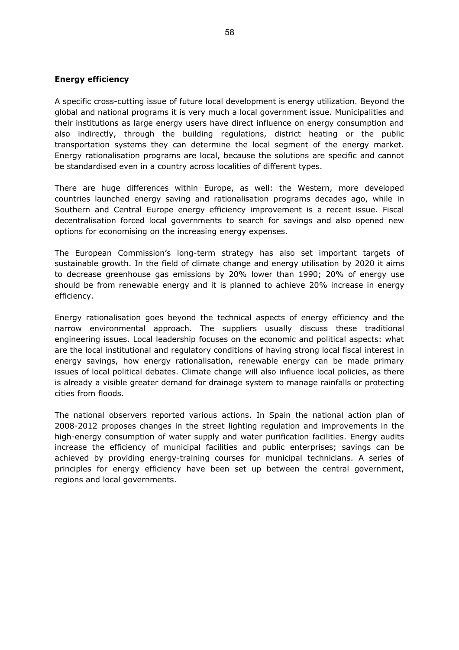#### <span id="page-57-0"></span>**Energy efficiency**

A specific cross-cutting issue of future local development is energy utilization. Beyond the global and national programs it is very much a local government issue. Municipalities and their institutions as large energy users have direct influence on energy consumption and also indirectly, through the building regulations, district heating or the public transportation systems they can determine the local segment of the energy market. Energy rationalisation programs are local, because the solutions are specific and cannot be standardised even in a country across localities of different types.

There are huge differences within Europe, as well: the Western, more developed countries launched energy saving and rationalisation programs decades ago, while in Southern and Central Europe energy efficiency improvement is a recent issue. Fiscal decentralisation forced local governments to search for savings and also opened new options for economising on the increasing energy expenses.

The European Commission's long-term strategy has also set important targets of sustainable growth. In the field of climate change and energy utilisation by 2020 it aims to decrease greenhouse gas emissions by 20% lower than 1990; 20% of energy use should be from renewable energy and it is planned to achieve 20% increase in energy efficiency.

Energy rationalisation goes beyond the technical aspects of energy efficiency and the narrow environmental approach. The suppliers usually discuss these traditional engineering issues. Local leadership focuses on the economic and political aspects: what are the local institutional and regulatory conditions of having strong local fiscal interest in energy savings, how energy rationalisation, renewable energy can be made primary issues of local political debates. Climate change will also influence local policies, as there is already a visible greater demand for drainage system to manage rainfalls or protecting cities from floods.

The national observers reported various actions. In Spain the national action plan of 2008-2012 proposes changes in the street lighting regulation and improvements in the high-energy consumption of water supply and water purification facilities. Energy audits increase the efficiency of municipal facilities and public enterprises; savings can be achieved by providing energy-training courses for municipal technicians. A series of principles for energy efficiency have been set up between the central government, regions and local governments.